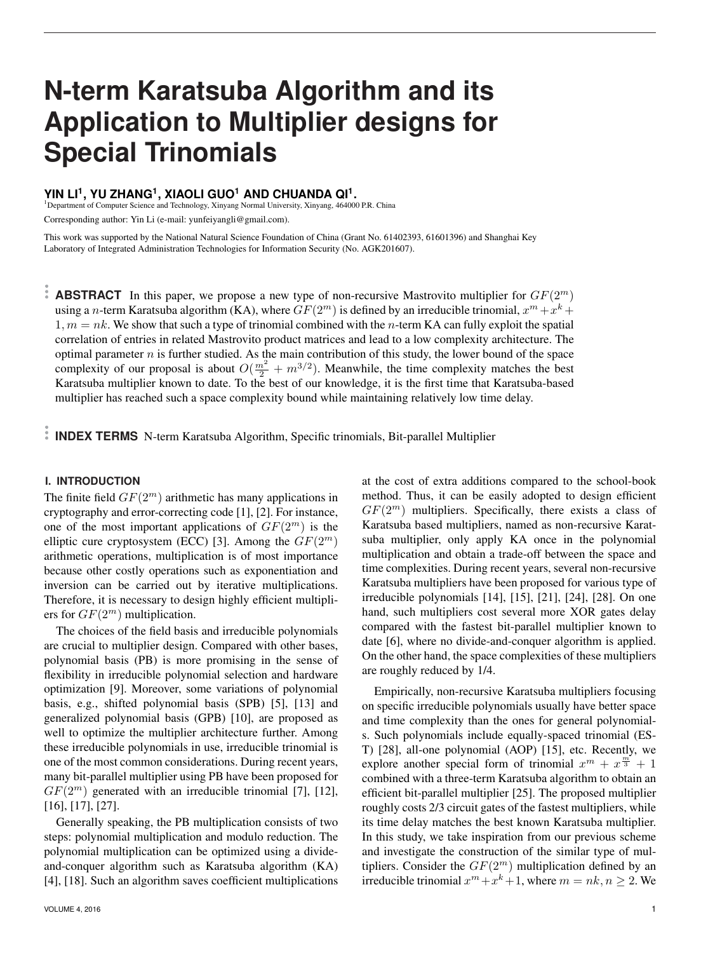# **N-term Karatsuba Algorithm and its Application to Multiplier designs for Special Trinomials**

# **YIN LI<sup>1</sup> , YU ZHANG<sup>1</sup> , XIAOLI GUO<sup>1</sup> AND CHUANDA QI<sup>1</sup> .**

<sup>1</sup>Department of Computer Science and Technology, Xinyang Normal University, Xinyang, 464000 P.R. China

Corresponding author: Yin Li (e-mail: yunfeiyangli@gmail.com).

This work was supported by the National Natural Science Foundation of China (Grant No. 61402393, 61601396) and Shanghai Key Laboratory of Integrated Administration Technologies for Information Security (No. AGK201607).

**ABSTRACT** In this paper, we propose a new type of non-recursive Mastrovito multiplier for  $GF(2^m)$ using a *n*-term Karatsuba algorithm (KA), where  $GF(2^m)$  is defined by an irreducible trinomial,  $x^m + x^k +$  $1, m = nk$ . We show that such a type of trinomial combined with the *n*-term KA can fully exploit the spatial correlation of entries in related Mastrovito product matrices and lead to a low complexity architecture. The optimal parameter  $n$  is further studied. As the main contribution of this study, the lower bound of the space complexity of our proposal is about  $O(\frac{m^2}{2} + m^{3/2})$ . Meanwhile, the time complexity matches the best Karatsuba multiplier known to date. To the best of our knowledge, it is the first time that Karatsuba-based multiplier has reached such a space complexity bound while maintaining relatively low time delay.

**INDEX TERMS** N-term Karatsuba Algorithm, Specific trinomials, Bit-parallel Multiplier

# **I. INTRODUCTION**

The finite field  $GF(2<sup>m</sup>)$  arithmetic has many applications in cryptography and error-correcting code [1], [2]. For instance, one of the most important applications of  $GF(2<sup>m</sup>)$  is the elliptic cure cryptosystem (ECC) [3]. Among the  $GF(2^m)$ arithmetic operations, multiplication is of most importance because other costly operations such as exponentiation and inversion can be carried out by iterative multiplications. Therefore, it is necessary to design highly efficient multipliers for  $GF(2^m)$  multiplication.

The choices of the field basis and irreducible polynomials are crucial to multiplier design. Compared with other bases, polynomial basis (PB) is more promising in the sense of flexibility in irreducible polynomial selection and hardware optimization [9]. Moreover, some variations of polynomial basis, e.g., shifted polynomial basis (SPB) [5], [13] and generalized polynomial basis (GPB) [10], are proposed as well to optimize the multiplier architecture further. Among these irreducible polynomials in use, irreducible trinomial is one of the most common considerations. During recent years, many bit-parallel multiplier using PB have been proposed for  $GF(2<sup>m</sup>)$  generated with an irreducible trinomial [7], [12], [16], [17], [27].

Generally speaking, the PB multiplication consists of two steps: polynomial multiplication and modulo reduction. The polynomial multiplication can be optimized using a divideand-conquer algorithm such as Karatsuba algorithm (KA) [4], [18]. Such an algorithm saves coefficient multiplications at the cost of extra additions compared to the school-book method. Thus, it can be easily adopted to design efficient  $GF(2^m)$  multipliers. Specifically, there exists a class of Karatsuba based multipliers, named as non-recursive Karatsuba multiplier, only apply KA once in the polynomial multiplication and obtain a trade-off between the space and time complexities. During recent years, several non-recursive Karatsuba multipliers have been proposed for various type of irreducible polynomials [14], [15], [21], [24], [28]. On one hand, such multipliers cost several more XOR gates delay compared with the fastest bit-parallel multiplier known to date [6], where no divide-and-conquer algorithm is applied. On the other hand, the space complexities of these multipliers are roughly reduced by 1/4.

Empirically, non-recursive Karatsuba multipliers focusing on specific irreducible polynomials usually have better space and time complexity than the ones for general polynomials. Such polynomials include equally-spaced trinomial (ES-T) [28], all-one polynomial (AOP) [15], etc. Recently, we explore another special form of trinomial  $x^m + x^{\frac{m}{3}} + 1$ combined with a three-term Karatsuba algorithm to obtain an efficient bit-parallel multiplier [25]. The proposed multiplier roughly costs 2/3 circuit gates of the fastest multipliers, while its time delay matches the best known Karatsuba multiplier. In this study, we take inspiration from our previous scheme and investigate the construction of the similar type of multipliers. Consider the  $GF(2^m)$  multiplication defined by an irreducible trinomial  $x^m + x^k + 1$ , where  $m = nk, n \ge 2$ . We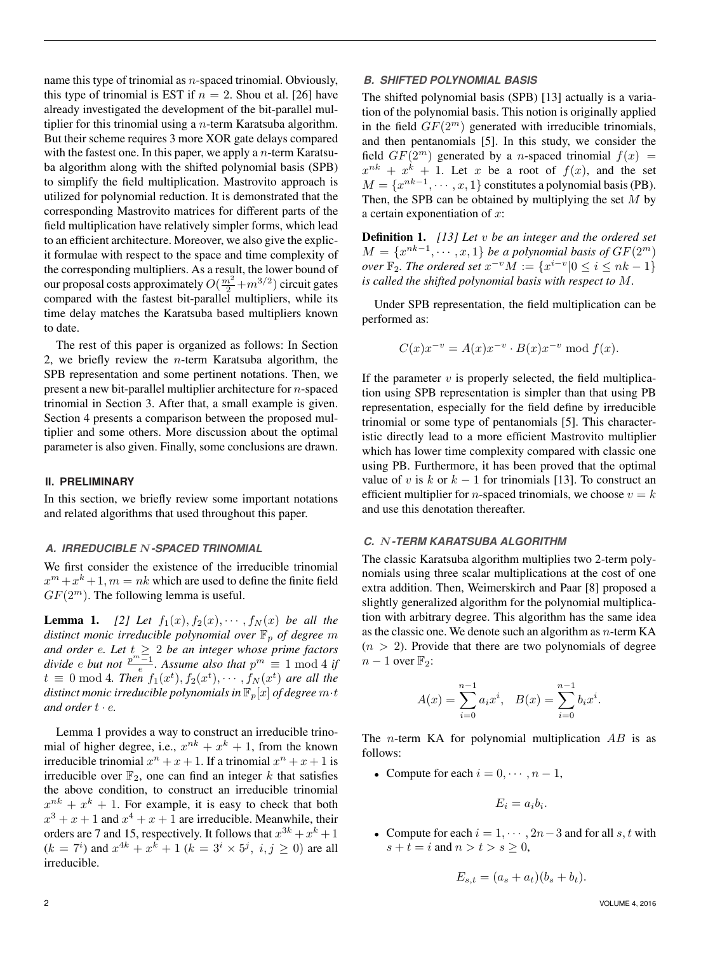name this type of trinomial as  $n$ -spaced trinomial. Obviously, this type of trinomial is EST if  $n = 2$ . Shou et al. [26] have already investigated the development of the bit-parallel multiplier for this trinomial using a  $n$ -term Karatsuba algorithm. But their scheme requires 3 more XOR gate delays compared with the fastest one. In this paper, we apply a  $n$ -term Karatsuba algorithm along with the shifted polynomial basis (SPB) to simplify the field multiplication. Mastrovito approach is utilized for polynomial reduction. It is demonstrated that the corresponding Mastrovito matrices for different parts of the field multiplication have relatively simpler forms, which lead to an efficient architecture. Moreover, we also give the explicit formulae with respect to the space and time complexity of the corresponding multipliers. As a result, the lower bound of our proposal costs approximately  $O(\frac{m^2}{2}+m^{3/2})$  circuit gates compared with the fastest bit-parallel multipliers, while its time delay matches the Karatsuba based multipliers known to date.

The rest of this paper is organized as follows: In Section 2, we briefly review the  $n$ -term Karatsuba algorithm, the SPB representation and some pertinent notations. Then, we present a new bit-parallel multiplier architecture for n-spaced trinomial in Section 3. After that, a small example is given. Section 4 presents a comparison between the proposed multiplier and some others. More discussion about the optimal parameter is also given. Finally, some conclusions are drawn.

## **II. PRELIMINARY**

In this section, we briefly review some important notations and related algorithms that used throughout this paper.

## *A. IRREDUCIBLE* N*-SPACED TRINOMIAL*

We first consider the existence of the irreducible trinomial  $x^m + x^k + 1$ ,  $m = nk$  which are used to define the finite field  $GF(2^m)$ . The following lemma is useful.

**Lemma 1.** [2] Let  $f_1(x), f_2(x), \cdots, f_N(x)$  be all the *distinct monic irreducible polynomial over*  $\mathbb{F}_p$  *of degree m and order* e*. Let* t ≥ 2 *be an integer whose prime factors divide e but not*  $\frac{p^m-1}{e}$ *. Assume also that*  $p^m \equiv 1 \mod 4$  *if*  $t \equiv 0 \mod 4$ . Then  $f_1(x^t), f_2(x^t), \cdots, f_N(x^t)$  are all the *distinct monic irreducible polynomials in*  $\mathbb{F}_p[x]$  *of degree*  $m \cdot t$ and order  $t \cdot e$ .

Lemma 1 provides a way to construct an irreducible trinomial of higher degree, i.e.,  $x^{nk} + x^k + 1$ , from the known irreducible trinomial  $x^n + x + 1$ . If a trinomial  $x^n + x + 1$  is irreducible over  $\mathbb{F}_2$ , one can find an integer k that satisfies the above condition, to construct an irreducible trinomial  $x^{nk} + x^k + 1$ . For example, it is easy to check that both  $x^3 + x + 1$  and  $x^4 + x + 1$  are irreducible. Meanwhile, their orders are 7 and 15, respectively. It follows that  $x^{3k} + x^k + 1$  $(k = 7<sup>i</sup>)$  and  $x^{4k} + x^{k} + 1$   $(k = 3<sup>i</sup> \times 5<sup>j</sup>, i, j \ge 0)$  are all irreducible.

### *B. SHIFTED POLYNOMIAL BASIS*

The shifted polynomial basis (SPB) [13] actually is a variation of the polynomial basis. This notion is originally applied in the field  $GF(2^m)$  generated with irreducible trinomials, and then pentanomials [5]. In this study, we consider the field  $GF(2^m)$  generated by a *n*-spaced trinomial  $f(x) =$  $x^{nk} + x^k + 1$ . Let x be a root of  $f(x)$ , and the set  $M = \{x^{nk-1}, \dots, x, 1\}$  constitutes a polynomial basis (PB). Then, the SPB can be obtained by multiplying the set  $M$  by a certain exponentiation of  $x$ :

Definition 1. *[13] Let* v *be an integer and the ordered set*  $M = \{x^{nk-1}, \dots, x, 1\}$  *be a polynomial basis of*  $GF(2^m)$ *over*  $\mathbb{F}_2$ *. The ordered set*  $x^{-v}M := \{x^{i-v}|0 \leq i \leq nk-1\}$ *is called the shifted polynomial basis with respect to* M*.*

Under SPB representation, the field multiplication can be performed as:

$$
C(x)x^{-v} = A(x)x^{-v} \cdot B(x)x^{-v} \text{ mod } f(x).
$$

If the parameter  $v$  is properly selected, the field multiplication using SPB representation is simpler than that using PB representation, especially for the field define by irreducible trinomial or some type of pentanomials [5]. This characteristic directly lead to a more efficient Mastrovito multiplier which has lower time complexity compared with classic one using PB. Furthermore, it has been proved that the optimal value of v is k or  $k - 1$  for trinomials [13]. To construct an efficient multiplier for *n*-spaced trinomials, we choose  $v = k$ and use this denotation thereafter.

## *C.* N*-TERM KARATSUBA ALGORITHM*

The classic Karatsuba algorithm multiplies two 2-term polynomials using three scalar multiplications at the cost of one extra addition. Then, Weimerskirch and Paar [8] proposed a slightly generalized algorithm for the polynomial multiplication with arbitrary degree. This algorithm has the same idea as the classic one. We denote such an algorithm as  $n$ -term KA  $(n > 2)$ . Provide that there are two polynomials of degree  $n-1$  over  $\mathbb{F}_2$ :

$$
A(x) = \sum_{i=0}^{n-1} a_i x^i, \quad B(x) = \sum_{i=0}^{n-1} b_i x^i.
$$

The *n*-term KA for polynomial multiplication  $AB$  is as follows:

• Compute for each  $i = 0, \dots, n-1$ ,

$$
E_i = a_i b_i.
$$

• Compute for each  $i = 1, \dots, 2n-3$  and for all s, t with  $s + t = i$  and  $n > t > s \geq 0$ ,

$$
E_{s,t} = (a_s + a_t)(b_s + b_t).
$$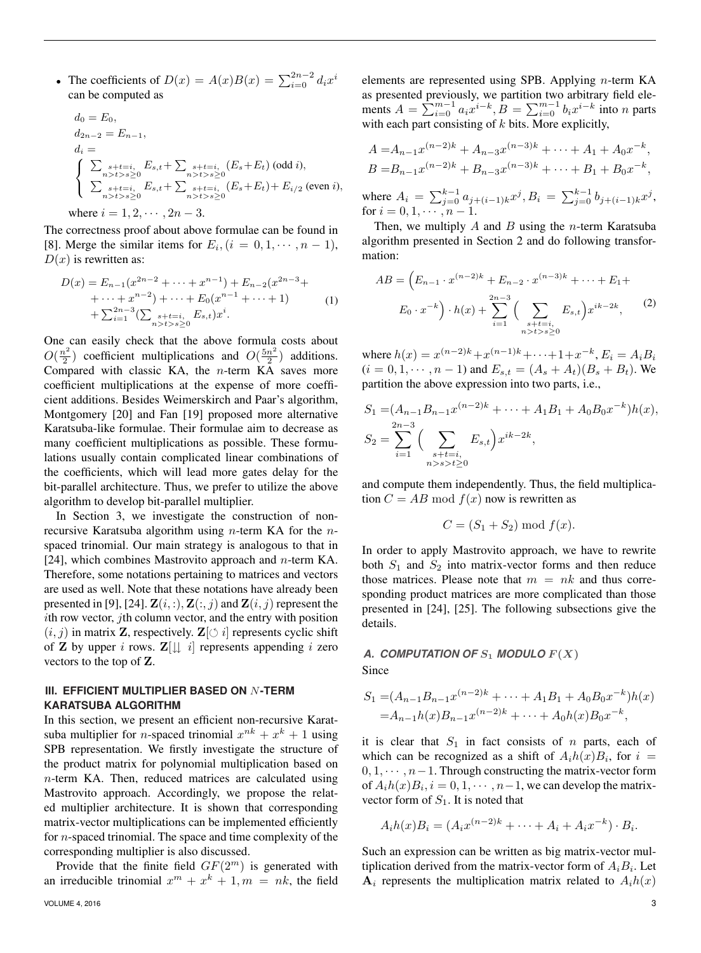• The coefficients of  $D(x) = A(x)B(x) = \sum_{i=0}^{2n-2} d_i x^i$ can be computed as

$$
d_0 = E_0,
$$
  
\n
$$
d_{2n-2} = E_{n-1},
$$
  
\n
$$
d_i = \begin{cases}\n\sum_{\substack{s+t=i, \\ n>s > s \ge 0}} E_{s,t} + \sum_{\substack{s+t=i, \\ n>s > s \ge 0}} (E_s + E_t) \text{ (odd } i), \\
\sum_{\substack{s+t=i, \\ n>s > s \ge 0}} E_{s,t} + \sum_{\substack{s+t=i, \\ n>s > s \ge 0}} (E_s + E_t) + E_{i/2} \text{ (even } i), \\
\text{where } i = 1, 2, \dots, 2n - 3.
$$

The correctness proof about above formulae can be found in [8]. Merge the similar items for  $E_i$ ,  $(i = 0, 1, \dots, n - 1)$ ,  $D(x)$  is rewritten as:

$$
D(x) = E_{n-1}(x^{2n-2} + \dots + x^{n-1}) + E_{n-2}(x^{2n-3} + \dots + x^{n-2}) + \dots + E_0(x^{n-1} + \dots + 1) + \sum_{i=1}^{2n-3} \left( \sum_{\substack{s+t=i, \ n> t>s \ge 0}} E_{s,t} \right) x^i.
$$
 (1)

One can easily check that the above formula costs about  $O(\frac{n^2}{2})$  $\frac{1}{2}$ ) coefficient multiplications and  $O(\frac{5n^2}{2})$  $\frac{n^2}{2}$  additions. Compared with classic KA, the  $n$ -term KA saves more coefficient multiplications at the expense of more coefficient additions. Besides Weimerskirch and Paar's algorithm, Montgomery [20] and Fan [19] proposed more alternative Karatsuba-like formulae. Their formulae aim to decrease as many coefficient multiplications as possible. These formulations usually contain complicated linear combinations of the coefficients, which will lead more gates delay for the bit-parallel architecture. Thus, we prefer to utilize the above algorithm to develop bit-parallel multiplier.

In Section 3, we investigate the construction of nonrecursive Karatsuba algorithm using  $n$ -term KA for the  $n$ spaced trinomial. Our main strategy is analogous to that in [24], which combines Mastrovito approach and  $n$ -term KA. Therefore, some notations pertaining to matrices and vectors are used as well. Note that these notations have already been presented in [9], [24].  $\mathbf{Z}(i,:)$ ,  $\mathbf{Z}(i,j)$  and  $\mathbf{Z}(i,j)$  represent the  $i$ th row vector,  $j$ th column vector, and the entry with position  $(i, j)$  in matrix **Z**, respectively.  $\mathbf{Z}[\circlearrowleft i]$  represents cyclic shift of **Z** by upper *i* rows.  $\mathbf{Z}[\downarrow \downarrow i]$  represents appending *i* zero vectors to the top of Z.

# **III. EFFICIENT MULTIPLIER BASED ON** N**-TERM KARATSUBA ALGORITHM**

In this section, we present an efficient non-recursive Karatsuba multiplier for *n*-spaced trinomial  $x^{nk} + x^k + 1$  using SPB representation. We firstly investigate the structure of the product matrix for polynomial multiplication based on n-term KA. Then, reduced matrices are calculated using Mastrovito approach. Accordingly, we propose the related multiplier architecture. It is shown that corresponding matrix-vector multiplications can be implemented efficiently for n-spaced trinomial. The space and time complexity of the corresponding multiplier is also discussed.

Provide that the finite field  $GF(2^m)$  is generated with an irreducible trinomial  $x^m + x^k + 1, m = nk$ , the field

elements are represented using SPB. Applying  $n$ -term KA as presented previously, we partition two arbitrary field elements  $A = \sum_{i=0}^{m-1} a_i x^{i-k}, B = \sum_{i=0}^{m-1} b_i x^{i-k}$  into n parts with each part consisting of  $k$  bits. More explicitly,

$$
A = A_{n-1}x^{(n-2)k} + A_{n-3}x^{(n-3)k} + \dots + A_1 + A_0x^{-k},
$$
  
\n
$$
B = B_{n-1}x^{(n-2)k} + B_{n-3}x^{(n-3)k} + \dots + B_1 + B_0x^{-k},
$$

where  $A_i = \sum_{j=0}^{k-1} a_{j+(i-1)k} x^j, B_i = \sum_{j=0}^{k-1} b_{j+(i-1)k} x^j$ , for  $i = 0, 1, \cdots, n - 1$ .

Then, we multiply  $A$  and  $B$  using the *n*-term Karatsuba algorithm presented in Section 2 and do following transformation:

$$
AB = \left(E_{n-1} \cdot x^{(n-2)k} + E_{n-2} \cdot x^{(n-3)k} + \dots + E_1 + E_0 \cdot x^{-k}\right) \cdot h(x) + \sum_{i=1}^{2n-3} \left(\sum_{\substack{s+t=i,\\n>t>s\ge 0}} E_{s,t}\right) x^{ik-2k},
$$
 (2)

where  $h(x) = x^{(n-2)k} + x^{(n-1)k} + \cdots + 1 + x^{-k}, E_i = A_i B_i$  $(i = 0, 1, \dots, n - 1)$  and  $E_{s,t} = (A_s + A_t)(B_s + B_t)$ . We partition the above expression into two parts, i.e.,

$$
S_1 = (A_{n-1}B_{n-1}x^{(n-2)k} + \dots + A_1B_1 + A_0B_0x^{-k})h(x),
$$
  
\n
$$
S_2 = \sum_{i=1}^{2n-3} \Big(\sum_{\substack{s+t=i,\\n>s>t\geq 0}} E_{s,t}\Big)x^{ik-2k},
$$

and compute them independently. Thus, the field multiplication  $C = AB \mod f(x)$  now is rewritten as

$$
C = (S_1 + S_2) \bmod f(x).
$$

In order to apply Mastrovito approach, we have to rewrite both  $S_1$  and  $S_2$  into matrix-vector forms and then reduce those matrices. Please note that  $m = nk$  and thus corresponding product matrices are more complicated than those presented in [24], [25]. The following subsections give the details.

# A. COMPUTATION OF  $S_1$  MODULO  $F(X)$ Since

$$
S_1 = (A_{n-1}B_{n-1}x^{(n-2)k} + \dots + A_1B_1 + A_0B_0x^{-k})h(x)
$$
  
=  $A_{n-1}h(x)B_{n-1}x^{(n-2)k} + \dots + A_0h(x)B_0x^{-k},$ 

it is clear that  $S_1$  in fact consists of n parts, each of which can be recognized as a shift of  $A_i h(x) B_i$ , for  $i =$  $0, 1, \dots, n-1$ . Through constructing the matrix-vector form of  $A_i h(x) B_i$ ,  $i = 0, 1, \dots, n-1$ , we can develop the matrixvector form of  $S_1$ . It is noted that

$$
A_i h(x) B_i = (A_i x^{(n-2)k} + \dots + A_i + A_i x^{-k}) \cdot B_i.
$$

Such an expression can be written as big matrix-vector multiplication derived from the matrix-vector form of  $A_iB_i$ . Let  $A_i$  represents the multiplication matrix related to  $A_i h(x)$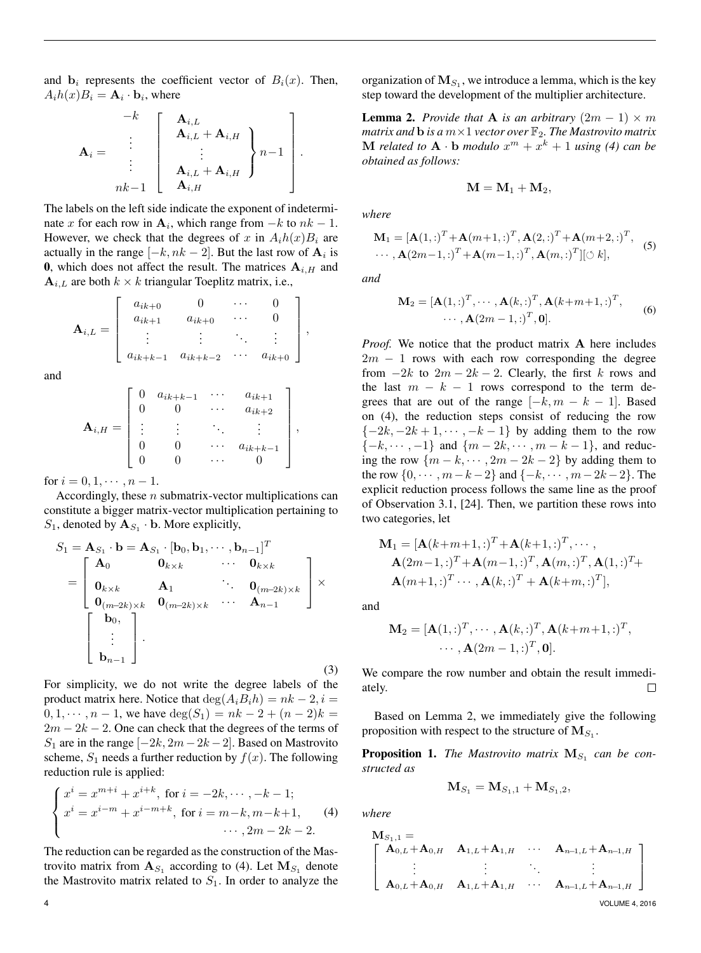and  $\mathbf{b}_i$  represents the coefficient vector of  $B_i(x)$ . Then,  $A_i h(x) B_i = A_i \cdot b_i$ , where

$$
\mathbf{A}_{i} = \begin{bmatrix} -k \\ \vdots \\ \vdots \\ \vdots \\ \vdots \\ nk-1 \end{bmatrix} \begin{bmatrix} \mathbf{A}_{i,L} \\ \mathbf{A}_{i,L} + \mathbf{A}_{i,H} \\ \vdots \\ \mathbf{A}_{i,L} + \mathbf{A}_{i,H} \end{bmatrix} n-1 \begin{bmatrix} \\ \vdots \\ \vdots \\ \mathbf{A}_{i,H} \end{bmatrix}.
$$

The labels on the left side indicate the exponent of indeterminate x for each row in  $A_i$ , which range from  $-k$  to  $nk - 1$ . However, we check that the degrees of x in  $A_i h(x) B_i$  are actually in the range  $[-k, nk-2]$ . But the last row of  $\mathbf{A}_i$  is 0, which does not affect the result. The matrices  $A_{i,H}$  and  $\mathbf{A}_{i,L}$  are both  $k \times k$  triangular Toeplitz matrix, i.e.,

$$
\mathbf{A}_{i,L} = \left[ \begin{array}{cccc} a_{ik+0} & 0 & \cdots & 0 \\ a_{ik+1} & a_{ik+0} & \cdots & 0 \\ \vdots & \vdots & \ddots & \vdots \\ a_{ik+k-1} & a_{ik+k-2} & \cdots & a_{ik+0} \end{array} \right],
$$

and

$$
\mathbf{A}_{i,H} = \begin{bmatrix} 0 & a_{ik+k-1} & \cdots & a_{ik+1} \\ 0 & 0 & \cdots & a_{ik+2} \\ \vdots & \vdots & \ddots & \vdots \\ 0 & 0 & \cdots & a_{ik+k-1} \\ 0 & 0 & \cdots & 0 \end{bmatrix},
$$

for  $i = 0, 1, \dots, n - 1$ .

Accordingly, these n submatrix-vector multiplications can constitute a bigger matrix-vector multiplication pertaining to  $S_1$ , denoted by  $\mathbf{A}_{S_1} \cdot \mathbf{b}$ . More explicitly,

$$
S_1 = \mathbf{A}_{S_1} \cdot \mathbf{b} = \mathbf{A}_{S_1} \cdot [\mathbf{b}_0, \mathbf{b}_1, \cdots, \mathbf{b}_{n-1}]^T
$$
  
\n
$$
= \begin{bmatrix} \mathbf{A}_0 & \mathbf{0}_{k \times k} & \cdots & \mathbf{0}_{k \times k} \\ \mathbf{0}_{k \times k} & \mathbf{A}_1 & \ddots & \mathbf{0}_{(m-2k) \times k} \\ \mathbf{0}_{(m-2k) \times k} & \mathbf{0}_{(m-2k) \times k} & \cdots & \mathbf{A}_{n-1} \end{bmatrix} \times
$$
  
\n
$$
\begin{bmatrix} \mathbf{b}_0 \\ \vdots \\ \mathbf{b}_{n-1} \end{bmatrix}.
$$
 (3)

For simplicity, we do not write the degree labels of the product matrix here. Notice that  $\deg(A_iB_ih) = nk - 2, i =$  $0, 1, \dots, n-1$ , we have  $deg(S_1) = nk - 2 + (n-2)k =$  $2m - 2k - 2$ . One can check that the degrees of the terms of S<sub>1</sub> are in the range  $[-2k, 2m-2k-2]$ . Based on Mastrovito scheme,  $S_1$  needs a further reduction by  $f(x)$ . The following reduction rule is applied:

$$
\begin{cases}\n x^{i} = x^{m+i} + x^{i+k}, \text{ for } i = -2k, \dots, -k - 1; \\
 x^{i} = x^{i-m} + x^{i-m+k}, \text{ for } i = m-k, m-k+1, \\
 & \dots, 2m - 2k - 2.\n\end{cases}
$$
\n(4)

The reduction can be regarded as the construction of the Mastrovito matrix from  $A_{S_1}$  according to (4). Let  $M_{S_1}$  denote the Mastrovito matrix related to  $S_1$ . In order to analyze the

organization of  $M_{S_1}$ , we introduce a lemma, which is the key step toward the development of the multiplier architecture.

**Lemma 2.** *Provide that* **A** *is an arbitrary*  $(2m - 1) \times m$ *matrix and*  $\mathbf b$  *is a*  $m\times 1$  *vector over*  $\mathbb F_2$ *. The Mastrovito matrix* **M** related to  $A \cdot b$  modulo  $x^m + x^k + 1$  using (4) can be *obtained as follows:*

$$
\mathbf{M}=\mathbf{M}_1+\mathbf{M}_2,
$$

*where*

$$
\mathbf{M}_1 = [\mathbf{A}(1,:)^T + \mathbf{A}(m+1,:)^T, \mathbf{A}(2,:)^T + \mathbf{A}(m+2,:)^T, \cdots, \mathbf{A}(2m-1,:)^T + \mathbf{A}(m-1,:)^T, \mathbf{A}(m,:)^T][\circlearrowleft k],
$$
\n(5)

*and*

$$
\mathbf{M}_2 = [\mathbf{A}(1,:)]^T, \cdots, \mathbf{A}(k,:)]^T, \mathbf{A}(k+m+1,:)^T, \cdots, \mathbf{A}(2m-1,:)^T, \mathbf{0}].
$$
\n(6)

*Proof.* We notice that the product matrix A here includes  $2m - 1$  rows with each row corresponding the degree from  $-2k$  to  $2m - 2k - 2$ . Clearly, the first k rows and the last  $m - k - 1$  rows correspond to the term degrees that are out of the range  $[-k, m - k - 1]$ . Based on (4), the reduction steps consist of reducing the row  $\{-2k, -2k+1, \cdots, -k-1\}$  by adding them to the row  $\{-k, \dots, -1\}$  and  $\{m - 2k, \dots, m - k - 1\}$ , and reducing the row  $\{m - k, \dots, 2m - 2k - 2\}$  by adding them to the row  $\{0, \dots, m-k-2\}$  and  $\{-k, \dots, m-2k-2\}$ . The explicit reduction process follows the same line as the proof of Observation 3.1, [24]. Then, we partition these rows into two categories, let

$$
\mathbf{M}_1 = [\mathbf{A}(k+m+1,:)^T + \mathbf{A}(k+1,:)^T, \cdots, \n\mathbf{A}(2m-1,:)^T + \mathbf{A}(m-1,:)^T, \mathbf{A}(m,:)^T, \mathbf{A}(1,:)^T + \n\mathbf{A}(m+1,:)^T \cdots, \mathbf{A}(k,:)^T + \mathbf{A}(k+m,:)^T],
$$

and

$$
\mathbf{M}_2 = [\mathbf{A}(1,:)^T, \cdots, \mathbf{A}(k,:)^T, \mathbf{A}(k+m+1,:)^T, \cdots, \mathbf{A}(2m-1,:)^T, \mathbf{0}].
$$

We compare the row number and obtain the result immediately.  $\Box$ 

Based on Lemma 2, we immediately give the following proposition with respect to the structure of  $\mathbf{M}_{S_1}$ .

**Proposition 1.** The Mastrovito matrix  $M_{S_1}$  can be con*structed as*

$$
\mathbf{M}_{S_1} = \mathbf{M}_{S_1,1} + \mathbf{M}_{S_1,2},
$$

*where*

$$
\mathbf{M}_{S_1,1} = \begin{bmatrix} \mathbf{A}_{0,L} + \mathbf{A}_{0,H} & \mathbf{A}_{1,L} + \mathbf{A}_{1,H} & \cdots & \mathbf{A}_{n-1,L} + \mathbf{A}_{n-1,H} \\ \vdots & \vdots & \ddots & \vdots \\ \mathbf{A}_{0,L} + \mathbf{A}_{0,H} & \mathbf{A}_{1,L} + \mathbf{A}_{1,H} & \cdots & \mathbf{A}_{n-1,L} + \mathbf{A}_{n-1,H} \end{bmatrix}
$$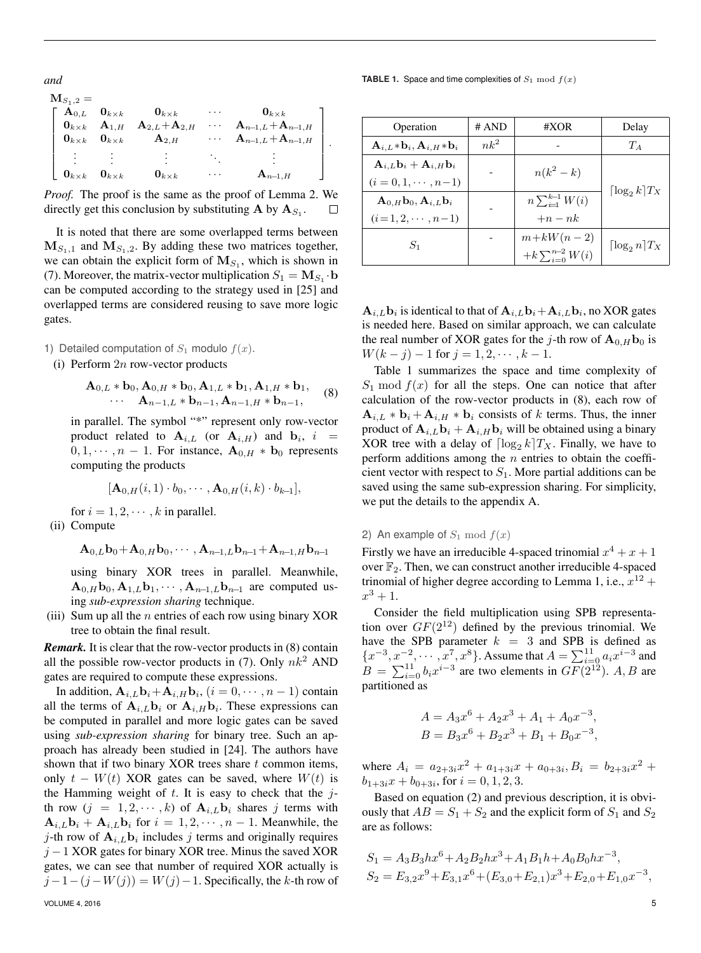*and*

| ${\bf M}_{S_1,2}=$                          |                          |                                           |   |                                         |
|---------------------------------------------|--------------------------|-------------------------------------------|---|-----------------------------------------|
| $\mathbf{A}_{0,L}$                          | $\mathbf{0}_{k\times k}$ | $\mathbf{0}_{k\times k}$                  |   | $\mathbf{0}_{k\times k}$                |
| $\mathbf{0}_{k\times k}$ $\mathbf{A}_{1,H}$ |                          | $\mathbf{A}_{2,L} \!+\! \mathbf{A}_{2,H}$ | . | $\mathbf{A}_{n-1,L}+\mathbf{A}_{n-1,H}$ |
| $\mathbf{0}_{k\times k}$                    | $\mathbf{0}_{k\times k}$ | $\mathbf{A}_{2,H}$                        |   | $\mathbf{A}_{n-1,L}+\mathbf{A}_{n-1,H}$ |
|                                             |                          |                                           |   |                                         |
| $\mathbf{0}_{k\times k}$                    | $\mathbf{0}_{k\times k}$ | $\mathbf{0}_{k\times k}$                  |   | $\mathbf{A}_{n-1,H}$                    |

.

*Proof.* The proof is the same as the proof of Lemma 2. We directly get this conclusion by substituting **A** by  $A_{S_1}$ .  $\Box$ 

It is noted that there are some overlapped terms between  $M_{S_1,1}$  and  $M_{S_1,2}$ . By adding these two matrices together, we can obtain the explicit form of  $M_{S_1}$ , which is shown in (7). Moreover, the matrix-vector multiplication  $S_1 = M_{S_1} \cdot \mathbf{b}$ can be computed according to the strategy used in [25] and overlapped terms are considered reusing to save more logic gates.

- 1) Detailed computation of  $S_1$  modulo  $f(x)$ .
	- (i) Perform  $2n$  row-vector products

$$
\mathbf{A}_{0,L} * \mathbf{b}_0, \mathbf{A}_{0,H} * \mathbf{b}_0, \mathbf{A}_{1,L} * \mathbf{b}_1, \mathbf{A}_{1,H} * \mathbf{b}_1, \cdots \mathbf{A}_{n-1,L} * \mathbf{b}_{n-1}, \mathbf{A}_{n-1,H} * \mathbf{b}_{n-1},
$$
\n(8)

in parallel. The symbol "\*" represent only row-vector product related to  $\mathbf{A}_{i,L}$  (or  $\mathbf{A}_{i,H}$ ) and  $\mathbf{b}_i$ ,  $i =$  $0, 1, \dots, n - 1$ . For instance,  $\mathbf{A}_{0,H} * \mathbf{b}_0$  represents computing the products

$$
[\mathbf{A}_{0,H}(i,1)\cdot b_0,\cdots,\mathbf{A}_{0,H}(i,k)\cdot b_{k-1}],
$$

for  $i = 1, 2, \dots, k$  in parallel.

(ii) Compute

$$
\mathbf{A}_{0,L}\mathbf{b}_0 + \mathbf{A}_{0,H}\mathbf{b}_0, \cdots, \mathbf{A}_{n-1,L}\mathbf{b}_{n-1} + \mathbf{A}_{n-1,H}\mathbf{b}_{n-1}
$$

using binary XOR trees in parallel. Meanwhile,  $\mathbf{A}_{0,H}\mathbf{b}_0, \mathbf{A}_{1,L}\mathbf{b}_1, \cdots, \mathbf{A}_{n-1,L}\mathbf{b}_{n-1}$  are computed using *sub-expression sharing* technique.

(iii) Sum up all the  $n$  entries of each row using binary XOR tree to obtain the final result.

*Remark.* It is clear that the row-vector products in (8) contain all the possible row-vector products in (7). Only  $nk^2$  AND gates are required to compute these expressions.

In addition,  $\mathbf{A}_{i,L} \mathbf{b}_i + \mathbf{A}_{i,H} \mathbf{b}_i$ ,  $(i = 0, \cdots, n-1)$  contain all the terms of  $\mathbf{A}_{i,L} \mathbf{b}_i$  or  $\mathbf{A}_{i,H} \mathbf{b}_i$ . These expressions can be computed in parallel and more logic gates can be saved using *sub-expression sharing* for binary tree. Such an approach has already been studied in [24]. The authors have shown that if two binary XOR trees share  $t$  common items, only  $t - W(t)$  XOR gates can be saved, where  $W(t)$  is the Hamming weight of  $t$ . It is easy to check that the  $j$ th row  $(j = 1, 2, \dots, k)$  of  $\mathbf{A}_{i,L} \mathbf{b}_i$  shares j terms with  $\mathbf{A}_{i,L}\mathbf{b}_i + \mathbf{A}_{i,L}\mathbf{b}_i$  for  $i = 1, 2, \cdots, n-1$ . Meanwhile, the j-th row of  $\mathbf{A}_{i,L} \mathbf{b}_i$  includes j terms and originally requires  $j - 1$  XOR gates for binary XOR tree. Minus the saved XOR gates, we can see that number of required XOR actually is  $j-1-(j-W(j)) = W(j)-1$ . Specifically, the k-th row of

**TABLE 1.** Space and time complexities of  $S_1 \text{ mod } f(x)$ 

| Operation                                                          | # AND  | #XOR                      | Delay                        |  |
|--------------------------------------------------------------------|--------|---------------------------|------------------------------|--|
| $\mathbf{A}_{i,L} * \mathbf{b}_i, \mathbf{A}_{i,H} * \mathbf{b}_i$ | $nk^2$ |                           | $T_A$                        |  |
| $\mathbf{A}_{i,L}\mathbf{b}_i + \mathbf{A}_{i,H}\mathbf{b}_i$      |        | $n(k^2-k)$                |                              |  |
| $(i = 0, 1, \cdots, n-1)$                                          |        |                           | $\lceil \log_2 k \rceil T_X$ |  |
| $\mathbf{A}_{0,H} \mathbf{b}_0, \mathbf{A}_{i,L} \mathbf{b}_i$     |        | $n \sum_{i=1}^{k-1} W(i)$ |                              |  |
| $(i=1,2,\cdots,n-1)$                                               |        | $+n-nk$                   |                              |  |
| $S_1$                                                              |        | $m+kW(n-2)$               | $\lceil \log_2 n \rceil T_X$ |  |
|                                                                    |        | $+k\sum_{i=0}^{n-2}W(i)$  |                              |  |

 $\mathbf{A}_{i,L} \mathbf{b}_i$  is identical to that of  $\mathbf{A}_{i,L} \mathbf{b}_i + \mathbf{A}_{i,L} \mathbf{b}_i$ , no XOR gates is needed here. Based on similar approach, we can calculate the real number of XOR gates for the j-th row of  $\mathbf{A}_{0,H}\mathbf{b}_0$  is  $W(k - j) - 1$  for  $j = 1, 2, \dots, k - 1$ .

Table 1 summarizes the space and time complexity of  $S_1$  mod  $f(x)$  for all the steps. One can notice that after calculation of the row-vector products in (8), each row of  $\mathbf{A}_{i,L} * \mathbf{b}_i + \mathbf{A}_{i,H} * \mathbf{b}_i$  consists of k terms. Thus, the inner product of  $A_{i,L}$ **b**<sub>i</sub> +  $A_{i,H}$ **b**<sub>i</sub> will be obtained using a binary XOR tree with a delay of  $\lceil \log_2 k \rceil T_X$ . Finally, we have to perform additions among the  $n$  entries to obtain the coefficient vector with respect to  $S_1$ . More partial additions can be saved using the same sub-expression sharing. For simplicity, we put the details to the appendix A.

## 2) An example of  $S_1 \bmod f(x)$

Firstly we have an irreducible 4-spaced trinomial  $x^4 + x + 1$ over  $\mathbb{F}_2$ . Then, we can construct another irreducible 4-spaced trinomial of higher degree according to Lemma 1, i.e.,  $x^{12}$  +  $x^3 + 1.$ 

Consider the field multiplication using SPB representation over  $GF(2^{12})$  defined by the previous trinomial. We have the SPB parameter  $k = 3$  and SPB is defined as  ${x^{-3}, x_{-1}^{-2}, \dots, x^{7}, x^{8}}$ . Assume that  $A = \sum_{i=0}^{11} a_i x^{i-3}$  and  $B = \sum_{i=0}^{11} b_i x^{i-3}$  are two elements in  $GF(2^{12})$ . A, B are partitioned as

$$
A = A_3 x^6 + A_2 x^3 + A_1 + A_0 x^{-3},
$$
  
\n
$$
B = B_3 x^6 + B_2 x^3 + B_1 + B_0 x^{-3},
$$

where  $A_i = a_{2+3i}x^2 + a_{1+3i}x + a_{0+3i}$ ,  $B_i = b_{2+3i}x^2 + a_{0+3i}x^2 + a_{0+3i}x^2 + a_{0+3i}x^2$  $b_{1+3i}x + b_{0+3i}$ , for  $i = 0, 1, 2, 3$ .

Based on equation (2) and previous description, it is obviously that  $AB = S_1 + S_2$  and the explicit form of  $S_1$  and  $S_2$ are as follows:

$$
S_1 = A_3 B_3 h x^6 + A_2 B_2 h x^3 + A_1 B_1 h + A_0 B_0 h x^{-3},
$$
  
\n
$$
S_2 = E_{3,2} x^9 + E_{3,1} x^6 + (E_{3,0} + E_{2,1}) x^3 + E_{2,0} + E_{1,0} x^{-3},
$$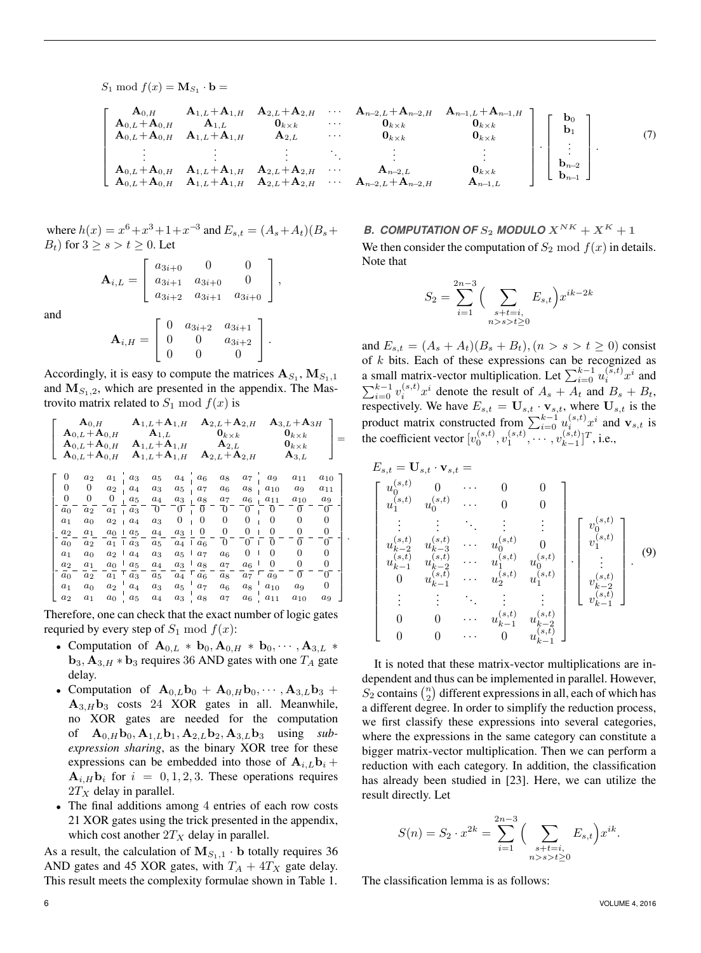$$
S_1 \bmod f(x) = \mathbf{M}_{S_1} \cdot \mathbf{b} =
$$

$$
\left[\begin{array}{cccccccccc}A_{0,H} & A_{1,L}+A_{1,H} & A_{2,L}+A_{2,H} & \cdots & A_{n-2,L}+A_{n-2,H} & A_{n-1,L}+A_{n-1,L}+A_{n-1,L} & A_{1,L} & A_{1,L} & A_{2,L} & \cdots & A_{2,L} & A_{2,L} & A_{2,L} & A_{2,L} & A_{2,L} & A_{2,L} & A_{2,L} & A_{2,L} & A_{2,L} & A_{2,L} & A_{2,L} & A_{2,L} & A_{2,L} & A_{2,L} & A_{2,L} & A_{2,L} & A_{2,L} & A_{2,L} & A_{2,L} & A_{2,L} & A_{2,L} & A_{2,L} & A_{2,L} & A_{2,L} & A_{2,L} & A_{2,L} & A_{2,L} & A_{2,L} & A_{2,L} & A_{2,L} & A_{2,L} & A_{2,L} & A_{2,L} & A_{2,L} & A_{2,L} & A_{2,L} & A_{2,L} & A_{2,L} & A_{2,L} & A_{2,L} & A_{2,L} & A_{2,L} & A_{2,L} & A_{2,L} & A_{2,L} & A_{2,L} & A_{2,L} & A_{2,L} & A_{2,L} & A_{2,L} & A_{2,L} & A_{2,L} & A_{2,L} & A_{2,L} & A_{2,L} & A_{2,L} & A_{2,L} & A_{2,L} & A_{2,L} & A_{2,L} & A_{2,L} & A_{2,L} & A_{2,L} & A_{2,L} & A_{2,L} & A_{2,L} & A_{2,L} & A_{2,L} & A_{2,L} & A_{2,L} & A_{2,L} & A_{2,L} & A_{2,L} & A_{2,L} & A_{2,L} & A_{2,L} & A_{2,L} & A_{2,L} & A_{2,L} & A_{2,L} & A_{2,L} & A_{2,L} & A_{2,L} & A_{2,L} & A_{2,L} & A_{2,L} & A_{2,L} & A_{2,L} & A_{2,L} & A_{2,L} & A_{2,L} & A_{2,L} & A_{2,L} & A_{2,L} & A_{2,L} & A_{2,L} & A_{2,L} & A_{2,L} & A_{2,L} & A_{2,L} & A_{2,L} & A_{2,L} & A_{2,L} & A_{2,L} & A_{2,L} & A_{2,L} & A_{2,L} & A_{2,L} & A_{2,L}
$$

where  $h(x) = x^6 + x^3 + 1 + x^{-3}$  and  $E_{s,t} = (A_s + A_t)(B_s +$  $B_t$ ) for  $3 \geq s > t \geq 0$ . Let

$$
\mathbf{A}_{i,L} = \begin{bmatrix} a_{3i+0} & 0 & 0 \\ a_{3i+1} & a_{3i+0} & 0 \\ a_{3i+2} & a_{3i+1} & a_{3i+0} \end{bmatrix},
$$

and

$$
\mathbf{A}_{i,H} = \left[ \begin{array}{ccc} 0 & a_{3i+2} & a_{3i+1} \\ 0 & 0 & a_{3i+2} \\ 0 & 0 & 0 \end{array} \right].
$$

Accordingly, it is easy to compute the matrices  $A_{S_1}, M_{S_1,1}$ and  $M_{S_1,2}$ , which are presented in the appendix. The Mastrovito matrix related to  $S_1 \mod f(x)$  is

$$
\left[ \begin{array}{cccccc} \mathbf{A}_{0,L} & \mathbf{A}_{1,L} + \mathbf{A}_{1,H} & \mathbf{A}_{2,L} + \mathbf{A}_{2,H} & \mathbf{A}_{3,L} + \mathbf{A}_{3H} \\ \mathbf{A}_{0,L} + \mathbf{A}_{0,H} & \mathbf{A}_{1,L} & \mathbf{0}_{k \times k} & \mathbf{0}_{k \times k} \\ \mathbf{A}_{0,L} + \mathbf{A}_{0,H} & \mathbf{A}_{1,L} + \mathbf{A}_{1,H} & \mathbf{A}_{2,L} & \mathbf{0}_{k \times k} \\ \mathbf{A}_{0,L} + \mathbf{A}_{0,H} & \mathbf{A}_{1,L} + \mathbf{A}_{1,H} & \mathbf{A}_{2,L} + \mathbf{A}_{2,H} & \mathbf{A}_{3,L} \end{array} \right] =
$$
\n
$$
\left[ \begin{array}{ccccccccc} 0 & a_{2} & a_{1} & a_{3} & a_{5} & a_{4} & a_{6} & a_{8} & a_{7} & a_{9} & a_{11} & a_{10} \\ 0 & 0 & a_{2} & a_{4} & a_{3} & a_{5} & a_{7} & a_{6} & a_{8} & a_{10} & a_{9} & a_{11} \\ a_{0} & -\mathbf{0} & -\mathbf{0} & \mathbf{0} & \mathbf{0} & \mathbf{0} & \mathbf{0} & \mathbf{0} & \mathbf{0} & \mathbf{0} & \mathbf{0} \\ a_{1} & a_{0} & a_{2} & a_{4} & a_{3} & a_{5} & a_{7} & a_{6} & a_{8} & a_{10} & a_{9} & a_{11} \\ a_{1} & a_{0} & a_{2} & a_{4} & a_{3} & 0 & 0 & 0 & 0 & 0 & 0 & 0 \\ a_{2} & a_{1} & a_{0} & a_{2} & a_{4} & a_{3} & 0 & 0 & 0 & 0 & 0 & 0 \\ a_{0} & a_{2} & a_{1} & a_{3} & a_{5} & a_{4} & a_{3} & a_{5} & a_{7} & a_{6} & 0 & 0 & 0 & 0 \\ a_{1} & a_{0} & a_{2} & a_{4} & a_{3} & a_{5} & a_{7} & a_{6} & 0 & 0 & 0 & 0
$$

.

Therefore, one can check that the exact number of logic gates requried by every step of  $S_1 \mod f(x)$ :

- Computation of  $\mathbf{A}_{0,L} * \mathbf{b}_0, \mathbf{A}_{0,H} * \mathbf{b}_0, \cdots, \mathbf{A}_{3,L} *$  **requires 36 AND gates with one**  $T_A$  **gate** delay.
- Computation of  $\mathbf{A}_{0,L}\mathbf{b}_0 + \mathbf{A}_{0,H}\mathbf{b}_0, \cdots, \mathbf{A}_{3,L}\mathbf{b}_3 +$  $A_{3,H}$ **b**<sub>3</sub> costs 24 XOR gates in all. Meanwhile, no XOR gates are needed for the computation of  $\mathbf{A}_{0,H} \mathbf{b}_0, \mathbf{A}_{1,L} \mathbf{b}_1, \mathbf{A}_{2,L} \mathbf{b}_2, \mathbf{A}_{3,L} \mathbf{b}_3$  using *subexpression sharing*, as the binary XOR tree for these expressions can be embedded into those of  $A_{i,L}b_i +$  $A_{i,H}$ **b**<sub>i</sub> for  $i = 0, 1, 2, 3$ . These operations requires  $2T_X$  delay in parallel.
- The final additions among 4 entries of each row costs 21 XOR gates using the trick presented in the appendix, which cost another  $2T_X$  delay in parallel.

As a result, the calculation of  $M_{S_1,1} \cdot \mathbf{b}$  totally requires 36 AND gates and 45 XOR gates, with  $T_A + 4T_X$  gate delay. This result meets the complexity formulae shown in Table 1.

# *B. COMPUTATION OF*  $S_2$  *MODULO*  $X^{NK} + X^{K} + 1$ We then consider the computation of  $S_2 \mod f(x)$  in details. Note that

$$
S_2 = \sum_{i=1}^{2n-3} \Big( \sum_{\substack{s+t=i,\\n>s>t \ge 0}} E_{s,t} \Big) x^{ik-2k}
$$

and  $E_{s,t} = (A_s + A_t)(B_s + B_t), (n > s > t \ge 0)$  consist of  $k$  bits. Each of these expressions can be recognized as a small matrix-vector multiplication. Let  $\sum_{i=0}^{k-1} u_i^{(\bar{s},t)} x^i$  and  $\sum_{i=0}^{k-1} v_i^{(s,t)} x^i$  denote the result of  $A_s + A_t$  and  $B_s + B_t$ , respectively. We have  $E_{s,t} = U_{s,t} \cdot \mathbf{v}_{s,t}$ , where  $U_{s,t}$  is the product matrix constructed from  $\sum_{i=0}^{k-1} u_i^{(s,t)} x^i$  and  $\mathbf{v}_{s,t}$  is the coefficient vector  $[v_0^{(s,t)}, v_1^{(s,t)}, \cdots, v_{k-1}^{(s,t)}]$  $_{k-1}^{(s,t)}$ ]<sup>T</sup>, i.e.,

$$
E_{s,t} = \mathbf{U}_{s,t} \cdot \mathbf{v}_{s,t} = \begin{bmatrix} u_0^{(s,t)} & 0 & \cdots & 0 & 0 \\ u_0^{(s,t)} & u_0^{(s,t)} & \cdots & 0 & 0 \\ \vdots & \vdots & \ddots & \vdots & \vdots \\ u_{k-2}^{(s,t)} & u_{k-3}^{(s,t)} & \cdots & u_0^{(s,t)} & 0 \\ u_{k-1}^{(s,t)} & u_{k-2}^{(s,t)} & \cdots & u_1^{(s,t)} & u_0^{(s,t)} \\ 0 & u_{k-1}^{(s,t)} & \cdots & u_2^{(s,t)} & u_1^{(s,t)} \\ \vdots & \vdots & \ddots & \vdots & \vdots \\ 0 & 0 & \cdots & u_{k-1}^{(s,t)} & u_{k-2}^{(s,t)} \\ 0 & 0 & \cdots & 0 & u_{k-1}^{(s,t)} \end{bmatrix} \cdot \begin{bmatrix} v_0^{(s,t)} \\ v_1^{(s,t)} \\ \vdots \\ v_{k-2}^{(s,t)} \\ v_{k-1}^{(s,t)} \\ \vdots \\ v_{k-1}^{(s,t)} \end{bmatrix} \tag{9}
$$

It is noted that these matrix-vector multiplications are independent and thus can be implemented in parallel. However,  $S_2$  contains  $\binom{n}{2}$  different expressions in all, each of which has a different degree. In order to simplify the reduction process, we first classify these expressions into several categories, where the expressions in the same category can constitute a bigger matrix-vector multiplication. Then we can perform a reduction with each category. In addition, the classification has already been studied in [23]. Here, we can utilize the result directly. Let

$$
S(n) = S_2 \cdot x^{2k} = \sum_{i=1}^{2n-3} \Big( \sum_{\substack{s+t=i, \\ n>s>t \ge 0}} E_{s,t} \Big) x^{ik}.
$$

The classification lemma is as follows: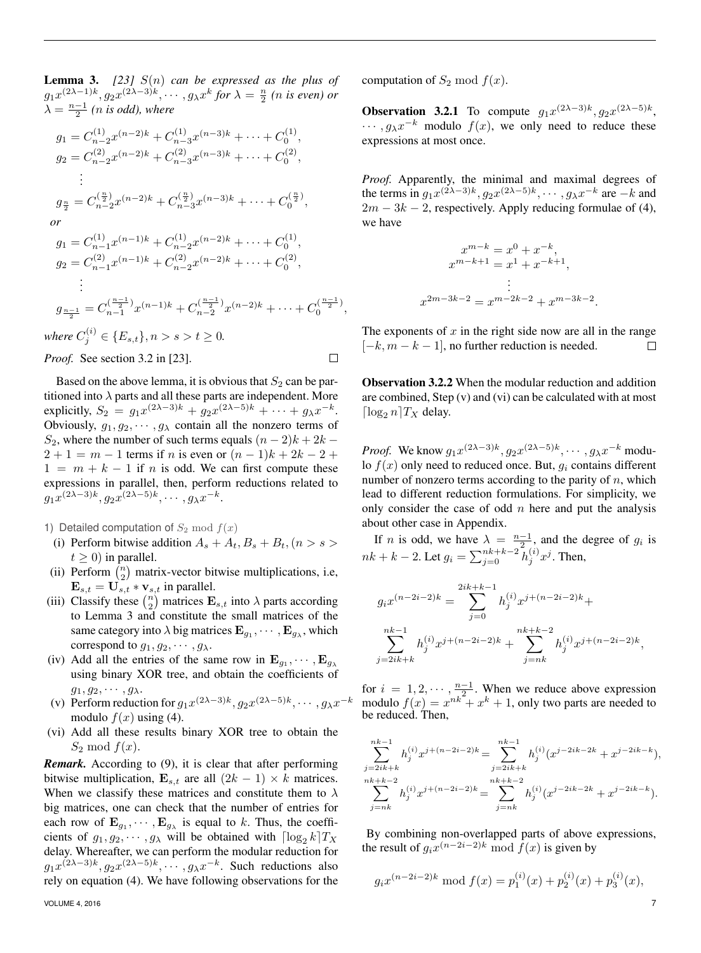**Lemma 3.** [23]  $S(n)$  *can be expressed as the plus of*  $g_1x^{(2\lambda-1)k}, g_2x^{(2\lambda-3)k}, \cdots, g_\lambda x^k$  for  $\lambda = \frac{n}{2}$  (*n* is even) or  $\lambda = \frac{n-1}{2}$  (*n* is odd), where

$$
g_1 = C_{n-2}^{(1)} x^{(n-2)k} + C_{n-3}^{(1)} x^{(n-3)k} + \dots + C_0^{(1)},
$$
  
\n
$$
g_2 = C_{n-2}^{(2)} x^{(n-2)k} + C_{n-3}^{(2)} x^{(n-3)k} + \dots + C_0^{(2)},
$$
  
\n
$$
\vdots
$$
  
\n
$$
g_{\frac{n}{2}} = C_{n-2}^{(\frac{n}{2})} x^{(n-2)k} + C_{n-3}^{(\frac{n}{2})} x^{(n-3)k} + \dots + C_0^{(\frac{n}{2})},
$$
  
\nor  
\n
$$
g_1 = C_{n-1}^{(1)} x^{(n-1)k} + C_{n-2}^{(1)} x^{(n-2)k} + \dots + C_0^{(1)},
$$
  
\n
$$
g_2 = C_{n-1}^{(2)} x^{(n-1)k} + C_{n-2}^{(2)} x^{(n-2)k} + \dots + C_0^{(2)},
$$
  
\n
$$
\vdots
$$
  
\n
$$
g_{\frac{n-1}{2}} = C_{n-1}^{(\frac{n-1}{2})} x^{(n-1)k} + C_{n-2}^{(\frac{n-1}{2})} x^{(n-2)k} + \dots + C_0^{(\frac{n-1}{2})},
$$
  
\nwhere  $C_j^{(i)} \in \{E_{s,t}\}, n > s > t \ge 0.$   
\nProof. See section 3.2 in [23].

Based on the above lemma, it is obvious that  $S_2$  can be partitioned into  $\lambda$  parts and all these parts are independent. More explicitly,  $S_2 = g_1 x^{(2\lambda - 3)k} + g_2 x^{(2\lambda - 5)k} + \cdots + g_\lambda x^{-k}$ . Obviously,  $g_1, g_2, \dots, g_\lambda$  contain all the nonzero terms of S<sub>2</sub>, where the number of such terms equals  $(n - 2)k + 2k$  –  $2 + 1 = m - 1$  terms if n is even or  $(n - 1)k + 2k - 2 +$  $1 = m + k - 1$  if n is odd. We can first compute these expressions in parallel, then, perform reductions related to  $g_1x^{(2\lambda-3)k}, g_2x^{(2\lambda-5)k}, \cdots, g_\lambda x^{-k}.$ 

1) Detailed computation of  $S_2 \mod f(x)$ 

- (i) Perform bitwise addition  $A_s + A_t, B_s + B_t, (n > s >$  $t > 0$ ) in parallel.
- (ii) Perform  $\binom{n}{2}$  matrix-vector bitwise multiplications, i.e,  $\mathbf{E}_{s,t} = \mathbf{U}_{s,t} * \mathbf{v}_{s,t}$  in parallel.
- (iii) Classify these  $\binom{n}{2}$  matrices  $\mathbf{E}_{s,t}$  into  $\lambda$  parts according to Lemma 3 and constitute the small matrices of the same category into  $\lambda$  big matrices  $\mathbf{E}_{g_1}, \cdots, \mathbf{E}_{g_\lambda}$ , which correspond to  $g_1, g_2, \cdots, g_\lambda$ .
- (iv) Add all the entries of the same row in  $\mathbf{E}_{g_1}, \cdots, \mathbf{E}_{g_\lambda}$ using binary XOR tree, and obtain the coefficients of  $g_1, g_2, \cdots, g_\lambda.$
- (v) Perform reduction for  $g_1x^{(2\lambda-3)k}$ ,  $g_2x^{(2\lambda-5)k}$ ,  $\cdots$ ,  $g_\lambda x^{-k}$ modulo  $f(x)$  using (4).
- (vi) Add all these results binary XOR tree to obtain the  $S_2 \mod f(x)$ .

*Remark.* According to (9), it is clear that after performing bitwise multiplication,  $\mathbf{E}_{s,t}$  are all  $(2k - 1) \times k$  matrices. When we classify these matrices and constitute them to  $\lambda$ big matrices, one can check that the number of entries for each row of  $\mathbf{E}_{g_1}, \cdots, \mathbf{E}_{g_\lambda}$  is equal to k. Thus, the coefficients of  $g_1, g_2, \dots, g_\lambda$  will be obtained with  $\lceil \log_2 k \rceil T_X$ delay. Whereafter, we can perform the modular reduction for  $g_1x^{(2\lambda-3)k}, g_2x^{(2\lambda-5)k}, \cdots, g_\lambda x^{-k}$ . Such reductions also rely on equation (4). We have following observations for the computation of  $S_2$  mod  $f(x)$ .

**Observation 3.2.1** To compute  $g_1x^{(2\lambda-3)k}$ ,  $g_2x^{(2\lambda-5)k}$ ,  $\cdots$ ,  $g_{\lambda}x^{-k}$  modulo  $f(x)$ , we only need to reduce these expressions at most once.

*Proof.* Apparently, the minimal and maximal degrees of the terms in  $g_1x^{(2\lambda-3)k}$ ,  $g_2x^{(2\lambda-5)k}$ ,  $\cdots$ ,  $g_\lambda x^{-k}$  are  $-k$  and  $2m - 3k - 2$ , respectively. Apply reducing formulae of (4), we have

$$
x^{m-k} = x^0 + x^{-k},
$$
  
\n
$$
x^{m-k+1} = x^1 + x^{-k+1},
$$
  
\n
$$
\vdots
$$
  
\n
$$
x^{2m-3k-2} = x^{m-2k-2} + x^{m-3k-2}.
$$

The exponents of  $x$  in the right side now are all in the range  $[-k, m - k - 1]$ , no further reduction is needed.  $\Box$ 

Observation 3.2.2 When the modular reduction and addition are combined, Step (v) and (vi) can be calculated with at most  $\lceil \log_2 n \rceil T_X$  delay.

*Proof.* We know  $g_1 x^{(2\lambda-3)k}$ ,  $g_2 x^{(2\lambda-5)k}$ ,  $\dots$ ,  $g_\lambda x^{-k}$  modulo  $f(x)$  only need to reduced once. But,  $q_i$  contains different number of nonzero terms according to the parity of  $n$ , which lead to different reduction formulations. For simplicity, we only consider the case of odd  $n$  here and put the analysis about other case in Appendix.

If *n* is odd, we have  $\lambda = \frac{n-1}{2}$ , and the degree of  $g_i$  is  $nk + k - 2$ . Let  $g_i = \sum_{j=0}^{nk+k-2} h_j^{(i)} x^j$ . Then,

$$
g_i x^{(n-2i-2)k} = \sum_{j=0}^{2ik+k-1} h_j^{(i)} x^{j+(n-2i-2)k} +
$$
  

$$
\sum_{j=2ik+k}^{nk-1} h_j^{(i)} x^{j+(n-2i-2)k} + \sum_{j=nk}^{nk+k-2} h_j^{(i)} x^{j+(n-2i-2)k},
$$

for  $i = 1, 2, \dots, \frac{n-1}{2}$ . When we reduce above expression modulo  $f(x) = x^{nk} + x^k + 1$ , only two parts are needed to be reduced. Then,

$$
\sum_{j=2ik+k}^{nk-1} h_j^{(i)} x^{j+(n-2i-2)k} = \sum_{j=2ik+k}^{nk-1} h_j^{(i)} (x^{j-2ik-2k} + x^{j-2ik-k}),
$$
  
\n
$$
\sum_{j=nk}^{nk+k-2} h_j^{(i)} x^{j+(n-2i-2)k} = \sum_{j=nk}^{nk+k-2} h_j^{(i)} (x^{j-2ik-2k} + x^{j-2ik-k}).
$$

By combining non-overlapped parts of above expressions, the result of  $g_i x^{(n-2i-2)k} \text{ mod } f(x)$  is given by

$$
g_i x^{(n-2i-2)k} \mod f(x) = p_1^{(i)}(x) + p_2^{(i)}(x) + p_3^{(i)}(x),
$$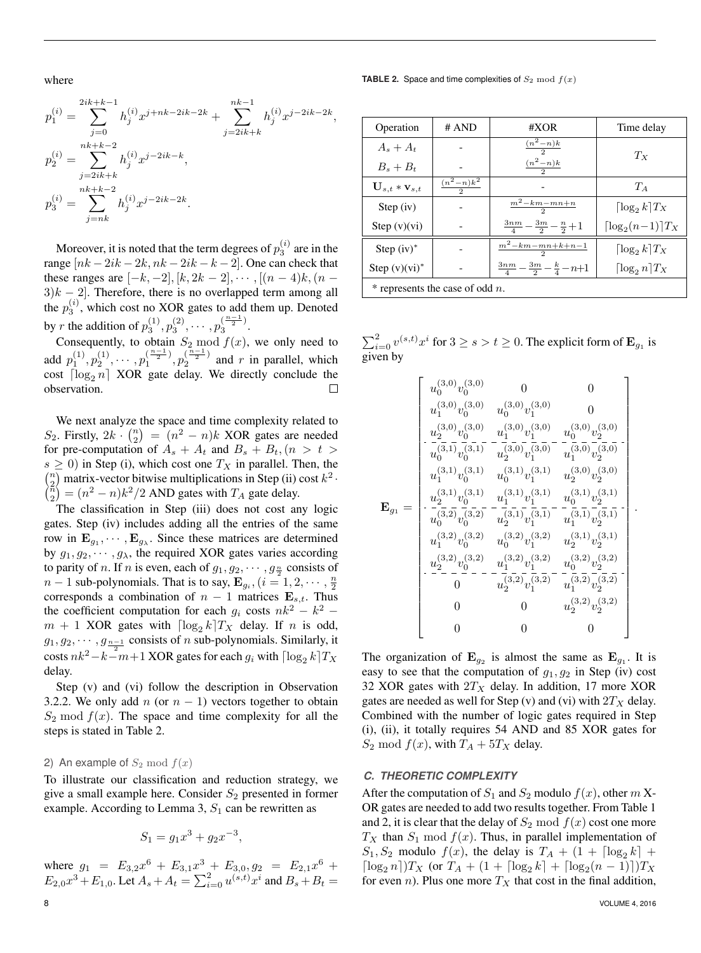where

**TABLE 2.** Space and time complexities of  $S_2 \text{ mod } f(x)$ 

$$
\begin{aligned} p_1^{(i)}&=\sum_{j=0}^{2ik+k-1}h_j^{(i)}x^{j+nk-2ik-2k}+\sum_{j=2ik+k}^{nk-1}h_j^{(i)}x^{j-2ik-2k},\\ p_2^{(i)}&=\sum_{j=2ik+k}^{nk+k-2}h_j^{(i)}x^{j-2ik-k},\\ p_3^{(i)}&=\sum_{j=nk}^{nk+k-2}h_j^{(i)}x^{j-2ik-2k}. \end{aligned}
$$

Moreover, it is noted that the term degrees of  $p_3^{(i)}$  are in the range  $[nk-2ik-2k, nk-2ik-k-2]$ . One can check that these ranges are  $[-k, -2]$ ,  $[k, 2k-2]$ ,  $\cdots$ ,  $[(n-4)k, (n-4)]$  $3k - 2$ . Therefore, there is no overlapped term among all the  $p_3^{(i)}$ , which cost no XOR gates to add them up. Denoted by r the addition of  $p_3^{(1)}, p_3^{(2)}, \cdots, p_3^{(\frac{n-1}{2})}$  $\frac{1}{3}$ .

Consequently, to obtain  $S_2 \mod f(x)$ , we only need to add  $p_1^{(1)}, p_2^{(1)}, \cdots, p_1^{(\frac{n-1}{2})}$  $\binom{\frac{n-1}{2}}{1}, p_{2}^{(\frac{n-1}{2})}$  $\sqrt{2^2}$  and r in parallel, which cost  $\lceil \log_2 n \rceil$  XOR gate delay. We directly conclude the observation.  $\Box$ 

We next analyze the space and time complexity related to S<sub>2</sub>. Firstly,  $2k \cdot \binom{n}{2} = (n^2 - n)k$  XOR gates are needed for pre-computation of  $A_s + A_t$  and  $B_s + B_t$ ,  $(n > t >$  $s \geq 0$ ) in Step (i), which cost one  $T_X$  in parallel. Then, the  $\binom{n}{2}$  matrix-vector bitwise multiplications in Step (ii) cost  $k^2$ .  $\binom{\pi}{2} = (n^2 - n)k^2/2$  AND gates with  $T_A$  gate delay.

The classification in Step (iii) does not cost any logic gates. Step (iv) includes adding all the entries of the same row in  $\mathbf{E}_{g_1}, \cdots, \mathbf{E}_{g_\lambda}$ . Since these matrices are determined by  $g_1, g_2, \dots, g_\lambda$ , the required XOR gates varies according to parity of *n*. If *n* is even, each of  $g_1, g_2, \dots, g_{\frac{n}{2}}$  consists of  $n-1$  sub-polynomials. That is to say,  $\mathbf{E}_{g_i}, (i = 1, 2, \cdots, \frac{n}{2})$ corresponds a combination of  $n - 1$  matrices  $\mathbf{E}_{s,t}$ . Thus the coefficient computation for each  $g_i$  costs  $nk^2 - k^2$  $m + 1$  XOR gates with  $\lceil \log_2 k \rceil T_X$  delay. If n is odd,  $g_1, g_2, \dots, g_{\frac{n-1}{2}}$  consists of *n* sub-polynomials. Similarly, it costs  $nk^2-k-m+1$  XOR gates for each  $g_i$  with  $\lceil \log_2 k \rceil T_X$ delay.

Step (v) and (vi) follow the description in Observation 3.2.2. We only add n (or  $n - 1$ ) vectors together to obtain  $S_2 \mod f(x)$ . The space and time complexity for all the steps is stated in Table 2.

## 2) An example of  $S_2 \mod f(x)$

To illustrate our classification and reduction strategy, we give a small example here. Consider  $S_2$  presented in former example. According to Lemma 3,  $S_1$  can be rewritten as

$$
S_1 = g_1 x^3 + g_2 x^{-3},
$$

where  $g_1 = E_{3,2}x^6 + E_{3,1}x^3 + E_{3,0}, g_2 = E_{2,1}x^6 +$  $E_{2,0}x^3 + E_{1,0}$ . Let  $A_s + A_t = \sum_{i=0}^{2} u^{(s,t)}x^i$  and  $B_s + B_t =$ 

| Operation                             | # AND                  | #XOR                                                 | Time delay                      |  |  |  |
|---------------------------------------|------------------------|------------------------------------------------------|---------------------------------|--|--|--|
| $A_s + A_t$                           |                        | $\frac{(n^2-n)k}{2}$                                 | $T_X$                           |  |  |  |
| $B_s + B_t$                           |                        | $\frac{(n^2-n)k}{2}$                                 |                                 |  |  |  |
| $\mathbf{U}_{s,t} * \mathbf{v}_{s,t}$ | $\frac{(n^2-n)k^2}{2}$ |                                                      | $T_A$                           |  |  |  |
| Step (iv)                             |                        | $\frac{m^2 - km - mn + n}{m}$                        | $\lceil \log_2 k \rceil T_X$    |  |  |  |
| Step $(v)(vi)$                        |                        | $\frac{3nm}{4} - \frac{3m}{2} - \frac{n}{2} + 1$     | $\lceil \log_2(n-1) \rceil T_X$ |  |  |  |
| Step $(iv)^*$                         |                        | $m^2 - km - mn + k + n - 1$                          | $\lceil \log_2 k \rceil T_X$    |  |  |  |
| Step $(v)(vi)^*$                      |                        | $\frac{3nm}{4} - \frac{3m}{2} - \frac{k}{4} - n + 1$ | $\log_2 n$ $T_X$                |  |  |  |
| $*$ represents the case of odd n.     |                        |                                                      |                                 |  |  |  |

 $\sum_{i=0}^{2} v^{(s,t)} x^i$  for  $3 \ge s > t \ge 0$ . The explicit form of  $\mathbf{E}_{g_1}$  is given by

$$
\mathbf{E}_{g_1} = \begin{bmatrix} u_0^{(3,0)}v_0^{(3,0)} & 0 & 0 \\ u_1^{(3,0)}v_0^{(3,0)} & u_0^{(3,0)}v_1^{(3,0)} & 0 \\ u_2^{(3,0)}v_0^{(3,0)} & u_1^{(3,0)}v_1^{(3,0)} & u_0^{(3,0)}v_2^{(3,0)} \\ \hline u_0^{(3,1)}v_0^{(3,1)} & u_2^{(3,0)}v_1^{(3,0)} & u_1^{(3,0)}v_2^{(3,0)} \\ u_1^{(3,1)}v_0^{(3,1)} & u_0^{(3,1)}v_1^{(3,1)} & u_2^{(3,0)}v_2^{(3,0)} \\ \hline u_0^{(3,1)}v_0^{(3,1)} & u_0^{(3,1)}v_1^{(3,1)} & u_2^{(3,0)}v_2^{(3,1)} \\ \hline u_0^{(3,1)}v_0^{(3,1)} & u_2^{(3,1)}v_1^{(3,1)} & u_1^{(3,1)}v_2^{(3,1)} \\ \hline u_0^{(3,2)}v_0^{(3,2)} & u_2^{(3,1)}v_1^{(3,2)} & u_2^{(3,1)}v_2^{(3,1)} \\ \hline u_2^{(3,2)}v_0^{(3,2)} & u_2^{(3,2)}v_1^{(3,2)} & u_2^{(3,2)}v_2^{(3,2)} \\ \hline 0 & u_2^{(3,2)}v_1^{(3,2)} & u_1^{(3,2)}v_2^{(3,2)} \\ \hline 0 & 0 & u_2^{(3,2)}v_2^{(3,2)} \\ 0 & 0 & 0 & 0 \end{bmatrix}
$$

The organization of  $\mathbf{E}_{g_2}$  is almost the same as  $\mathbf{E}_{g_1}$ . It is easy to see that the computation of  $g_1, g_2$  in Step (iv) cost 32 XOR gates with  $2T_X$  delay. In addition, 17 more XOR gates are needed as well for Step (v) and (vi) with  $2T_X$  delay. Combined with the number of logic gates required in Step (i), (ii), it totally requires 54 AND and 85 XOR gates for  $S_2 \text{ mod } f(x)$ , with  $T_A + 5T_X$  delay.

## *C. THEORETIC COMPLEXITY*

After the computation of  $S_1$  and  $S_2$  modulo  $f(x)$ , other m X-OR gates are needed to add two results together. From Table 1 and 2, it is clear that the delay of  $S_2 \mod f(x)$  cost one more  $T_X$  than  $S_1 \mod f(x)$ . Thus, in parallel implementation of  $S_1, S_2$  modulo  $f(x)$ , the delay is  $T_A + (1 + \lceil \log_2 k \rceil + \ell)$  $\lceil \log_2 n \rceil$ ) $T_X$  (or  $T_A + (1 + \lceil \log_2 k \rceil + \lceil \log_2 (n-1) \rceil) T_X$ for even n). Plus one more  $T_X$  that cost in the final addition,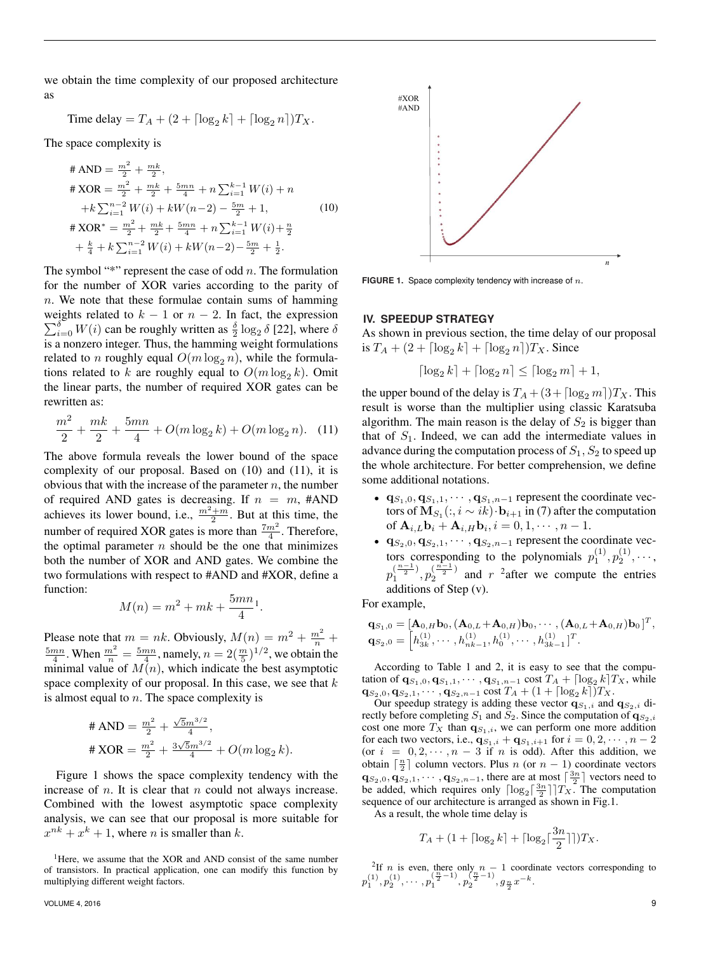we obtain the time complexity of our proposed architecture as

Time delay = 
$$
T_A + (2 + \lceil \log_2 k \rceil + \lceil \log_2 n \rceil) T_X
$$
.

The space complexity is

$$
\begin{aligned}\n\# \text{ AND} &= \frac{m^2}{2} + \frac{mk}{2}, \\
\# \text{ XOR} &= \frac{m^2}{2} + \frac{mk}{2} + \frac{5mn}{4} + n \sum_{i=1}^{k-1} W(i) + n \\
&\quad + k \sum_{i=1}^{n-2} W(i) + kW(n-2) - \frac{5m}{2} + 1, \\
\# \text{ XOR}^* &= \frac{m^2}{2} + \frac{mk}{2} + \frac{5mn}{4} + n \sum_{i=1}^{k-1} W(i) + \frac{n}{2} \\
&\quad + \frac{k}{4} + k \sum_{i=1}^{n-2} W(i) + kW(n-2) - \frac{5m}{2} + \frac{1}{2}.\n\end{aligned}\n\tag{10}
$$

The symbol "\*" represent the case of odd  $n$ . The formulation for the number of XOR varies according to the parity of  $n.$  We note that these formulae contain sums of hamming weights related to  $k - 1$  or  $n - 2$ . In fact, the expression  $\sum_{i=0}^{\delta} W(i)$  can be roughly written as  $\frac{\delta}{2} \log_2 \delta$  [22], where  $\delta$ is a nonzero integer. Thus, the hamming weight formulations related to *n* roughly equal  $O(m \log_2 n)$ , while the formulations related to k are roughly equal to  $O(m \log_2 k)$ . Omit the linear parts, the number of required XOR gates can be rewritten as:

$$
\frac{m^2}{2} + \frac{mk}{2} + \frac{5mn}{4} + O(m\log_2 k) + O(m\log_2 n). \quad (11)
$$

The above formula reveals the lower bound of the space complexity of our proposal. Based on (10) and (11), it is obvious that with the increase of the parameter  $n$ , the number of required AND gates is decreasing. If  $n = m$ , #AND achieves its lower bound, i.e.,  $\frac{m^2+m}{2}$ . But at this time, the number of required XOR gates is more than  $\frac{7m^2}{4}$ . Therefore, the optimal parameter  $n$  should be the one that minimizes both the number of XOR and AND gates. We combine the two formulations with respect to #AND and #XOR, define a function:

$$
M(n) = m^2 + mk + \frac{5mn}{4}.
$$

Please note that  $m = nk$ . Obviously,  $M(n) = m^2 + \frac{m^2}{n} + \frac{5mn}{4}$ . When  $\frac{m^2}{n} = \frac{5mn}{4}$ , namely,  $n = 2(\frac{m}{5})^{1/2}$ , we obtain the minimal value of  $M(n)$ , which indicate the best asymptotic space complexity of our proposal. In this case, we see that  $k$ is almost equal to  $n$ . The space complexity is

# AND = 
$$
\frac{m^2}{2} + \frac{\sqrt{5}m^{3/2}}{4}
$$
,  
\n# XOR =  $\frac{m^2}{2} + \frac{3\sqrt{5}m^{3/2}}{4} + O(m \log_2 k)$ .

Figure 1 shows the space complexity tendency with the increase of  $n$ . It is clear that  $n$  could not always increase. Combined with the lowest asymptotic space complexity analysis, we can see that our proposal is more suitable for  $x^{nk} + x^k + 1$ , where *n* is smaller than *k*.



FIGURE 1. Space complexity tendency with increase of n.

# **IV. SPEEDUP STRATEGY**

As shown in previous section, the time delay of our proposal is  $T_A + (2 + \lceil \log_2 k \rceil + \lceil \log_2 n \rceil) T_X$ . Since

$$
\lceil \log_2 k \rceil + \lceil \log_2 n \rceil \le \lceil \log_2 m \rceil + 1,
$$

the upper bound of the delay is  $T_A + (3 + \lceil \log_2 m \rceil)T_X$ . This result is worse than the multiplier using classic Karatsuba algorithm. The main reason is the delay of  $S_2$  is bigger than that of  $S_1$ . Indeed, we can add the intermediate values in advance during the computation process of  $S_1$ ,  $S_2$  to speed up the whole architecture. For better comprehension, we define some additional notations.

- $\mathbf{q}_{S_1,0}, \mathbf{q}_{S_1,1}, \cdots, \mathbf{q}_{S_1,n-1}$  represent the coordinate vectors of  $\mathbf{M}_{S_1}(:,i \sim ik) \cdot \mathbf{b}_{i+1}$  in (7) after the computation of  $\mathbf{A}_{i,L}\mathbf{b}_i + \mathbf{A}_{i,H}\mathbf{b}_i, i = 0, 1, \cdots, n-1.$
- $\mathbf{q}_{S_2,0}, \mathbf{q}_{S_2,1}, \cdots, \mathbf{q}_{S_2,n-1}$  represent the coordinate vectors corresponding to the polynomials  $p_1^{(1)}, p_2^{(1)}, \cdots$ ,  $p_1^{(\frac{n-1}{2})}$  $\binom{\frac{n-1}{2}}{1}, p_2^{(\frac{n-1}{2})}$  $\frac{1}{2}$  and r <sup>2</sup> after we compute the entries additions of Step (v).

For example,

$$
\mathbf{q}_{S_1,0} = [\mathbf{A}_{0,H}\mathbf{b}_0, (\mathbf{A}_{0,L} + \mathbf{A}_{0,H})\mathbf{b}_0, \cdots, (\mathbf{A}_{0,L} + \mathbf{A}_{0,H})\mathbf{b}_0]^T, \mathbf{q}_{S_2,0} = [\mathbf{h}_{3k}^{(1)}, \cdots, \mathbf{h}_{nk-1}^{(1)}, \mathbf{h}_0^{(1)}, \cdots, \mathbf{h}_{3k-1}^{(1)}]^T.
$$

According to Table 1 and 2, it is easy to see that the computation of  $\mathbf{q}_{S_1,0}, \mathbf{q}_{S_1,1}, \cdots, \mathbf{q}_{S_1,n-1}$  cost  $T_A + \lceil \log_2 k \rceil T_X$ , while  $\mathbf{q}_{S_2,0}, \mathbf{q}_{S_2,1}, \cdots, \mathbf{q}_{S_2,n-1} \cos\! \tau_A + (1 + \lceil \log_2 k \rceil) T_X.$ 

Our speedup strategy is adding these vector  $\mathbf{q}_{S_1,i}$  and  $\mathbf{q}_{S_2,i}$  directly before completing  $S_1$  and  $S_2$ . Since the computation of  $\mathbf{q}_{S_2,i}$ cost one more  $T_X$  than  $q_{S_1,i}$ , we can perform one more addition for each two vectors, i.e.,  ${\bf q}_{S_1,i} + {\bf q}_{S_1,i+1}$  for  $i = 0, 2, \cdots, n-2$ (or  $i = 0, 2, \dots, n - 3$  if n is odd). After this addition, we obtain  $\lceil \frac{n}{2} \rceil$  column vectors. Plus n (or  $n - 1$ ) coordinate vectors  $\mathbf{q}_{S_2,0}, \mathbf{q}_{S_2,1}, \cdots, \mathbf{q}_{S_2,n-1}$ , there are at most  $\lceil \frac{3n}{2} \rceil$  vectors need to be added, which requires only  $\lceil \log_2 \lceil \frac{3n}{2} \rceil \rceil T_X$ . The computation sequence of our architecture is arranged as shown in Fig.1.

As a result, the whole time delay is

$$
T_A + (1 + \lceil \log_2 k \rceil + \lceil \log_2 \lceil \frac{3n}{2} \rceil \rceil) T_X.
$$

<sup>2</sup>If *n* is even, there only  $n - 1$  coordinate vectors corresponding to  $p_1^{(1)}, p_2^{(1)}, \cdots, p_1^{(\frac{n}{2}-1)}, p_2^{(\frac{n}{2}-1)}, g_{\frac{n}{2}} x^{-k}.$ 

<sup>&</sup>lt;sup>1</sup>Here, we assume that the XOR and AND consist of the same number of transistors. In practical application, one can modify this function by multiplying different weight factors.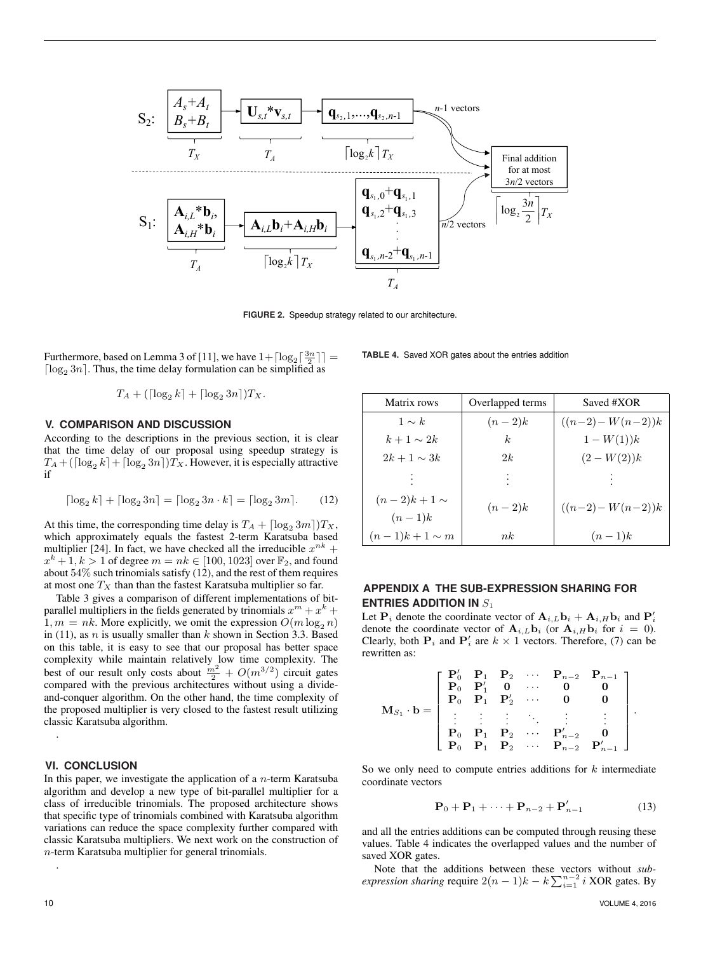

**FIGURE 2.** Speedup strategy related to our architecture.

Furthermore, based on Lemma 3 of [11], we have  $1 + \lceil \log_2 \lceil \frac{3n}{2} \rceil \rceil =$  $\lceil \log_2 3n \rceil$ . Thus, the time delay formulation can be simplified as

$$
T_A + (\lceil \log_2 k \rceil + \lceil \log_2 3n \rceil) T_X.
$$

#### **V. COMPARISON AND DISCUSSION**

According to the descriptions in the previous section, it is clear that the time delay of our proposal using speedup strategy is  $T_A + (\lceil \log_2 k \rceil + \lceil \log_2 3n \rceil) T_X$ . However, it is especially attractive if

$$
\lceil \log_2 k \rceil + \lceil \log_2 3n \rceil = \lceil \log_2 3n \cdot k \rceil = \lceil \log_2 3m \rceil. \tag{12}
$$

At this time, the corresponding time delay is  $T_A + \lceil \log_2 3m \rceil \, T_X$ , which approximately equals the fastest 2-term Karatsuba based multiplier [24]. In fact, we have checked all the irreducible  $x^{nk}$  +  $x^{k} + 1, k > 1$  of degree  $m = nk \in [100, 1023]$  over  $\mathbb{F}_{2}$ , and found about 54% such trinomials satisfy (12), and the rest of them requires at most one  $T_X$  than than the fastest Karatsuba multiplier so far.

Table 3 gives a comparison of different implementations of bitparallel multipliers in the fields generated by trinomials  $x^m + x^k +$  $1, m = nk$ . More explicitly, we omit the expression  $O(m \log_2 n)$ in (11), as  $n$  is usually smaller than  $k$  shown in Section 3.3. Based on this table, it is easy to see that our proposal has better space complexity while maintain relatively low time complexity. The best of our result only costs about  $\frac{m^2}{2} + O(m^{3/2})$  circuit gates compared with the previous architectures without using a divideand-conquer algorithm. On the other hand, the time complexity of the proposed multiplier is very closed to the fastest result utilizing classic Karatsuba algorithm.

## **VI. CONCLUSION**

.

In this paper, we investigate the application of a  $n$ -term Karatsuba algorithm and develop a new type of bit-parallel multiplier for a class of irreducible trinomials. The proposed architecture shows that specific type of trinomials combined with Karatsuba algorithm variations can reduce the space complexity further compared with classic Karatsuba multipliers. We next work on the construction of n-term Karatsuba multiplier for general trinomials.

| Matrix rows                 | Overlapped terms | Saved #XOR        |
|-----------------------------|------------------|-------------------|
| $1 \sim k$                  | $(n-2)k$         | $((n-2)-W(n-2))k$ |
| $k+1 \sim 2k$               | k <sub>i</sub>   | $1-W(1)$ ) $k$    |
| $2k+1 \sim 3k$              | 2k               | $(2-W(2))k$       |
|                             |                  |                   |
| $(n-2)k+1 \sim$<br>$(n-1)k$ | $(n-2)k$         | $((n-2)-W(n-2))k$ |
| $(n-1)k+1 \sim m$           | nk               | $(n-1)k$          |

**TABLE 4.** Saved XOR gates about the entries addition

# **APPENDIX A THE SUB-EXPRESSION SHARING FOR ENTRIES ADDITION IN S<sub>1</sub>**

Let  $P_i$  denote the coordinate vector of  $\mathbf{A}_{i,L} \mathbf{b}_i + \mathbf{A}_{i,H} \mathbf{b}_i$  and  $P'_i$ denote the coordinate vector of  $\mathbf{A}_{i,L} \mathbf{b}_i$  (or  $\mathbf{A}_{i,H} \mathbf{b}_i$  for  $i = 0$ ). Clearly, both  $P_i$  and  $P'_i$  are  $k \times 1$  vectors. Therefore, (7) can be rewritten as:

$$
\mathbf{M}_{S_1}\cdot\mathbf{b} = \left[ \begin{array}{ccccc} \mathbf{P}'_0 & \mathbf{P}_1 & \mathbf{P}_2 & \cdots & \mathbf{P}_{n-2} & \mathbf{P}_{n-1} \\ \mathbf{P}_0 & \mathbf{P}'_1 & 0 & \cdots & 0 & 0 \\ \mathbf{P}_0 & \mathbf{P}_1 & \mathbf{P}'_2 & \cdots & 0 & 0 \\ \vdots & \vdots & \vdots & \ddots & \vdots & \vdots \\ \mathbf{P}_0 & \mathbf{P}_1 & \mathbf{P}_2 & \cdots & \mathbf{P}'_{n-2} & \mathbf{0} \\ \mathbf{P}_0 & \mathbf{P}_1 & \mathbf{P}_2 & \cdots & \mathbf{P}_{n-2} & \mathbf{P}'_{n-1} \end{array} \right].
$$

So we only need to compute entries additions for  $k$  intermediate coordinate vectors

$$
\mathbf{P}_0 + \mathbf{P}_1 + \dots + \mathbf{P}_{n-2} + \mathbf{P}'_{n-1} \tag{13}
$$

and all the entries additions can be computed through reusing these values. Table 4 indicates the overlapped values and the number of saved XOR gates.

Note that the additions between these vectors without *subexpression sharing* require  $2(n-1)k - k\sum_{i=1}^{n-2} i$  XOR gates. By

.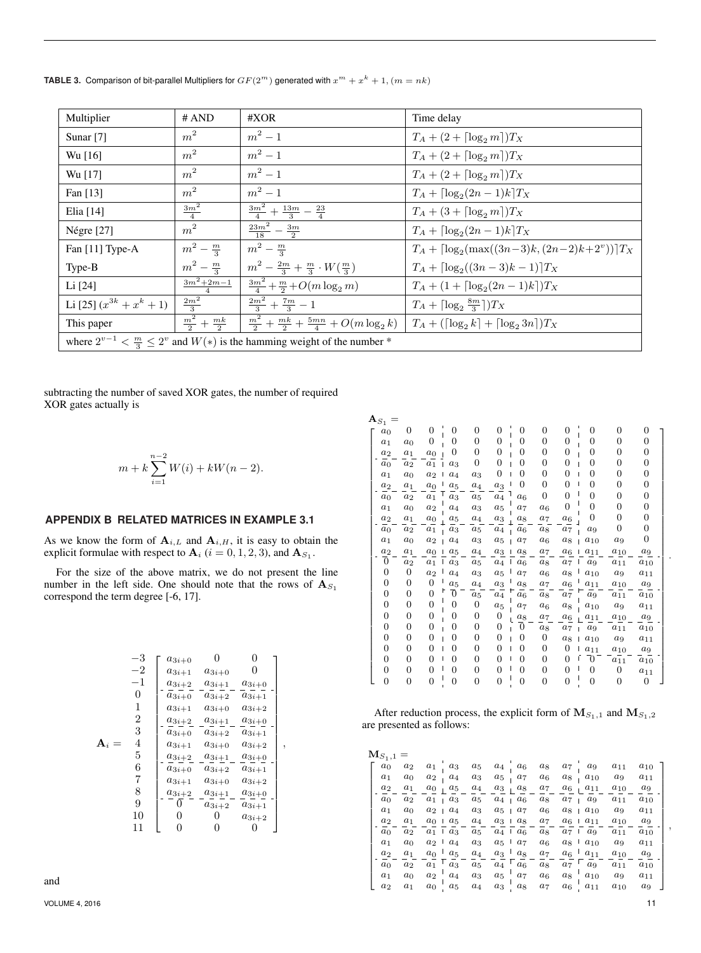|  | <b>TABLE 3.</b> Comparison of bit-parallel Multipliers for $GF(2^m)$ generated with $x^m + x^k + 1$ , $(m = nk)$ |  |
|--|------------------------------------------------------------------------------------------------------------------|--|
|--|------------------------------------------------------------------------------------------------------------------|--|

| Multiplier                                                                              | # AND                          | #XOR                                                                                              | Time delay                                                 |  |  |  |  |  |
|-----------------------------------------------------------------------------------------|--------------------------------|---------------------------------------------------------------------------------------------------|------------------------------------------------------------|--|--|--|--|--|
| Sunar $[7]$                                                                             | m <sup>2</sup>                 | $m^2-1$                                                                                           | $T_A + (2 + \lceil \log_2 m \rceil) T_X$                   |  |  |  |  |  |
| Wu [16]                                                                                 | m <sup>2</sup>                 | $m^2-1$                                                                                           | $T_A + (2 + \lceil \log_2 m \rceil) T_X$                   |  |  |  |  |  |
| Wu [17]                                                                                 | m <sup>2</sup>                 | $m^2-1$                                                                                           | $T_A + (2 + \lceil \log_2 m \rceil) T_X$                   |  |  |  |  |  |
| Fan $[13]$                                                                              | m <sup>2</sup>                 | $m^2-1$                                                                                           | $T_A + \left[\log_2(2n-1)k\right]T_X$                      |  |  |  |  |  |
| Elia $[14]$                                                                             | $\frac{3m^2}{4}$               | $\frac{3m^2}{4} + \frac{13m}{3} - \frac{23}{4}$                                                   | $T_A + (3 + \lceil \log_2 m \rceil) T_X$                   |  |  |  |  |  |
| Négre $[27]$                                                                            | m <sup>2</sup>                 | $rac{23m^2}{18} - \frac{3m}{2}$                                                                   | $T_A + \lceil \log_2(2n-1)k \rceil T_X$                    |  |  |  |  |  |
| Fan [11] Type-A                                                                         | $m^2 - \frac{m}{3}$            | $m^2 - \frac{m}{2}$                                                                               | $T_A + \left[\log_2(\max((3n-3)k, (2n-2)k+2^v))\right]T_X$ |  |  |  |  |  |
| Type-B                                                                                  | $m^2 - \frac{m}{2}$            | $m^2 - \frac{2m}{3} + \frac{m}{3} \cdot W(\frac{m}{3})$                                           | $T_A + \left[\log_2((3n-3)k-1)\right]T_X$                  |  |  |  |  |  |
| Li $[24]$                                                                               | $3m^2 + 2m - 1$                | $\frac{3m^2}{4} + \frac{m}{2} + O(m \log_2 m)$                                                    | $T_A + (1 + \lceil \log_2(2n - 1)k \rceil)T_X$             |  |  |  |  |  |
| Li [25] $(x^{3k} + x^k + 1)$                                                            | $\frac{2m^2}{3}$               | $\frac{2m^2}{3} + \frac{7m}{3} - 1$                                                               | $T_A + \left[\log_2 \frac{8m}{3}\right]T_X$                |  |  |  |  |  |
| This paper                                                                              | $\frac{m^2}{2} + \frac{mk}{2}$ | $\frac{m^2}{2} + \frac{mk}{2} + \frac{5mn}{4} + O(m \log_2 k)$ $T_A + (\log_2 k) + \log_2 3n)T_X$ |                                                            |  |  |  |  |  |
| where $2^{v-1} < \frac{m}{3} \leq 2^v$ and $W(*)$ is the hamming weight of the number * |                                |                                                                                                   |                                                            |  |  |  |  |  |

subtracting the number of saved XOR gates, the number of required XOR gates actually is

$$
m + k \sum_{i=1}^{n-2} W(i) + kW(n-2).
$$

# **APPENDIX B RELATED MATRICES IN EXAMPLE 3.1**

As we know the form of  $A_{i,L}$  and  $A_{i,H}$ , it is easy to obtain the explicit formulae with respect to  $\mathbf{A}_i$  ( $i = 0, 1, 2, 3$ ), and  $\mathbf{A}_{S_1}$ .

For the size of the above matrix, we do not present the line number in the left side. One should note that the rows of  $A_{S_1}$ correspond the term degree [-6, 17].

$$
\begin{array}{c}\n-3 \\
-2 \\
-1 \\
0\n\end{array}\n\begin{bmatrix}\na_{3i+0} & 0 & 0 \\
a_{3i+1} & a_{3i+0} & 0 \\
a_{3i+2} & a_{3i+1} & a_{3i+0} \\
a_{3i+0} & a_{3i+2} & a_{3i+1} \\
a_{3i+1} & a_{3i+0} & a_{3i+2} \\
2 & a_{3i+1} & a_{3i+0} & a_{3i+2} \\
a_{3i+1} & a_{3i+0} & a_{3i+2} \\
a_{3i+1} & a_{3i+0} & a_{3i+2} \\
a_{3i+1} & a_{3i+0} & a_{3i+2} \\
a_{3i+1} & a_{3i+0} & a_{3i+2} \\
b_{3i+1} & a_{3i+0} & a_{3i+2} \\
b_{3i+1} & a_{3i+0} & a_{3i+2} \\
a_{3i+1} & a_{3i+0} & a_{3i+2} \\
b_{3i+2} & a_{3i+1} & a_{3i+0} \\
b_{3i+2} & a_{3i+1} & a_{3i+0} \\
b_{3i+2} & a_{3i+1} & a_{3i+2} \\
10 & 0 & 0 & a_{3i+2} \\
11 & 0 & 0 & 0\n\end{bmatrix},
$$

and

| $\mathbf{A}_{S_1}$ |                |                |                    |                    |                    |                     |                    |                    |                |                |                    |  |
|--------------------|----------------|----------------|--------------------|--------------------|--------------------|---------------------|--------------------|--------------------|----------------|----------------|--------------------|--|
| $a_0$              | 0              | $\overline{0}$ | $\overline{0}$     | $\overline{0}$     | $\overline{0}$     | $\overline{0}$      | $\Omega$           | $\overline{0}$     | $\overline{0}$ | $\overline{0}$ | 0                  |  |
| $a_1$              | $a_0$          | $\overline{0}$ | $\Omega$           | $\overline{0}$     | $\overline{0}$     | 0                   | 0                  | $\overline{0}$     | $\Omega$       | $\mathbf{0}$   | 0                  |  |
| a <sub>2</sub>     | $a_1$          | a <sub>0</sub> | 0                  | $\overline{0}$     | 0                  | 0                   | 0                  | 0                  | 0              | $\overline{0}$ | 0                  |  |
| $a_0$              | $a_2$          | $a_1$          | $a_3$              | $\overline{0}$     | $\overline{0}$     | $\overline{0}$      | $\overline{0}$     | $\overline{0}$     | $\overline{0}$ | $\mathbf{0}$   | 0                  |  |
| $a_1$              | a <sub>0</sub> | $a_2$          | $a_4$              | $a_3$              | $\overline{0}$     | $\overline{0}$      | 0                  | $\overline{0}$     | 0              | $\overline{0}$ | 0                  |  |
| a <sub>2</sub>     | $a_1$          | a <sub>0</sub> | $a_5$              | $a_4$              | $a_3$              | $\overline{0}$      | $\overline{0}$     | $\overline{0}$     | $\Omega$       | $\mathbf{0}$   | 0                  |  |
| a <sub>0</sub>     | a <sub>2</sub> | $a_1$          | $\boldsymbol{a}_3$ | $\boldsymbol{a_5}$ | $a_4$              | a <sub>6</sub>      | 0                  | $\overline{0}$     | $\Omega$       | $\overline{0}$ | $\overline{0}$     |  |
| $a_1$              | $a_0$          | $a_2$          | $a_4$              | $a_3$              | $a_5$              | a <sub>7</sub>      | $a_6$              | $\mathbf{0}$       | $\overline{0}$ | $\mathbf{0}$   | $\overline{0}$     |  |
| $a_2$              | a <sub>1</sub> | $a_0$          | $a_5$              | $\boldsymbol{a}_4$ | $\boldsymbol{a}_3$ | $a_8$               | $a_7$              | $a_6$              | 0              | $\mathbf{0}$   | 0                  |  |
| a <sub>0</sub>     | a <sub>2</sub> | $a_1$          | $a_3$              | $a_5$              | $a_4$              | $a_6$               | $a_8$              | $a_7$              | $a_9$          | $\overline{0}$ | 0                  |  |
| a <sub>1</sub>     | a <sub>0</sub> | a <sub>2</sub> | a <sub>4</sub>     | $a_3$              | $a_5$              | a <sub>7</sub>      | $a_6$              | $a_8$              | $a_{10}$       | $a_9$          | 0                  |  |
| $a_2$              | a <sub>1</sub> | $a_0$          | $a_5$              | $a_4$              | $a_3$              | $a_8$<br>I          | $a_7$              | $a_6$              | $a_{11}$       | $a_{10}$       | $a_9$              |  |
| Ō                  | a <sub>2</sub> | $a_1$          | $a_3$              | $a_5$              | $a_4$              | Ш<br>a <sub>6</sub> | $a_8$              | $a_7$              | $a_9$          | $a_{11}$       | $a_{10}$           |  |
| $\mathbf{0}$       | 0              | $a_2$          | $a_4$              | $a_3$              | $a_5$              | a <sub>7</sub>      | $a_6$              | $a_8$              | $a_{10}$       | $a_9$          | $a_{11}$           |  |
| $\mathbf{0}$       | 0              | $\overline{0}$ | $a_5$              | $a_4$              | $a_3$              | ı<br>$a_8$          | $a_7$              | $a_6$              | $a_{11}$       | $a_{10}$       | $\boldsymbol{a}_9$ |  |
| $\overline{0}$     | $\overline{0}$ | $\overline{0}$ | Ō                  | $\boldsymbol{a}_5$ | $\boldsymbol{a}_4$ | ⊢<br>a <sub>6</sub> | $\boldsymbol{a_8}$ | $\boldsymbol{a}_7$ | $a_9$          | $a_{11}$       | $a_{\rm 10}$       |  |
| $\mathbf{0}$       | 0              | $\mathbf{0}$   | 0                  | 0                  | $a_5$              | $a_7$               | $a_6$              | $a_8$              | $a_{10}$       | $a_9$          | $a_{11}$           |  |
| $\mathbf{0}$       | $\overline{0}$ | 0              | 0                  | 0                  | $\mathbf{0}$       | $a_8$               | $\boldsymbol{a}_7$ | $a_6$              | $a_{11}$       | $a_{10}$       | $\boldsymbol{a}_9$ |  |
| $\mathbf{0}$       | $\overline{0}$ | $\mathbf{0}$   | 0                  | $\overline{0}$     | 0                  | $\overline{0}$      | $a_8$              | $a_7$              | $a_9$          | $a_{11}$       | $a_{10}$           |  |
| $\overline{0}$     | $\overline{0}$ | $\overline{0}$ | $\overline{0}$     | $\overline{0}$     | $\overline{0}$     | $\overline{0}$      | 0                  | $a_8$              | $a_{10}$       | $a_9$          | $a_{11}$           |  |
| $\mathbf{0}$       | 0              | $\overline{0}$ | 0                  | 0                  | $\overline{0}$     | 0                   | 0                  | 0                  | $a_{11}$       | $a_{10}$       | $\boldsymbol{a}_9$ |  |
| $\overline{0}$     | $\overline{0}$ | $\overline{0}$ | $\overline{0}$     | $\overline{0}$     | $\overline{0}$     | $\overline{0}$      | 0                  | 0                  | $\overline{0}$ | $a_{11}$       | $a_{\rm 10}$       |  |
| 0                  | 0              | $\mathbf{0}$   | 0                  | 0                  | $\mathbf{0}$       | 0                   | 0                  | 0                  | 0              | 0              | $a_{11}$           |  |
| $\overline{0}$     | $\overline{0}$ | $\overline{0}$ | $\overline{0}$     | $\overline{0}$     | $\mathbf{0}$       | 0                   | $\overline{0}$     | $\overline{0}$     | $\overline{0}$ | $\overline{0}$ | $\overline{0}$     |  |

After reduction process, the explicit form of  $M_{S_1,1}$  and  $M_{S_1,2}$ are presented as follows:

| ${\rm M}_{S_1,1}$ |                |       |                       |       |         |                                |                |                       |                       |          |          |  |
|-------------------|----------------|-------|-----------------------|-------|---------|--------------------------------|----------------|-----------------------|-----------------------|----------|----------|--|
| a <sub>0</sub>    | $a_2$          | $a_1$ | $a_3$                 | $a_5$ | $a_4$   | a <sub>6</sub>                 | $a_8$          | $a_7$                 | $a_9$                 | $a_{11}$ | $a_{10}$ |  |
| $a_1$             | $a_0$          | $a_2$ | $a_4$                 | $a_3$ | $a_5$   | $a_7$                          | $a_6$          | $^{a8}$               | $a_{10}$              | $a_9$    | $a_{11}$ |  |
| $a_2$             | $a_1$          | $a_0$ | $a_5$                 | $a_4$ | $a_3$   | $a_8$                          | $a_7$          | $a_6$                 | $a_{11}$              | $a_{10}$ | $a_9$    |  |
| a <sub>0</sub>    | $a_2$          | $a_1$ | $a_3$                 | $a_5$ | $a_{4}$ | $a_6$                          | $a_8$          | $a_7$                 | $a_9$                 | $a_{11}$ | $a_{10}$ |  |
| $a_1$             | a <sub>0</sub> | $a_2$ | $a_4$                 | $a_3$ | $a_{5}$ | $a_7$                          | $a_6$          | $a_{8}$               | $a_{10}$              | $a_9$    | $a_{11}$ |  |
| $a_2$             | $a_1$          | $a_0$ | $a_5$                 | $a_4$ | $a_3$   | $a_8$                          | $a_7$          |                       | $a_6 + a_{11}$        | $a_{10}$ | $a_9$    |  |
| a <sub>0</sub>    | $a_2$          | $a_1$ | $a_3$                 | $a_5$ | $a_4$   | $a_6$                          | $a_8$          | $a_7$                 | $a_9$                 | $a_{11}$ | $a_{10}$ |  |
| $a_1$             | a <sub>0</sub> | $a_2$ | $a_4$<br>$\mathbf{1}$ | $a_3$ | $a_5$   | $a_7$                          | $a_6$          | $a_8$<br>$\mathbf{L}$ | $a_{10}$              | $a_9$    | $a_{11}$ |  |
| a <sub>2</sub>    | $a_1$          | $a_0$ | $a_5$                 | $a_4$ | $a_3$   | $\mathbf{1}$<br>$a_8$          | $a_7$          | $a_6$                 | $a_{11}$              | $a_{10}$ | $a_9$    |  |
| a <sub>0</sub>    | $a_2$          | $a_1$ | $a_3$                 | $a_5$ | $a_4$   | $\mathbf{L}$<br>a <sub>6</sub> | $a_8$          | $a_7$                 | $\mathbf{L}$<br>$a_9$ | $a_{11}$ | $a_{10}$ |  |
| $a_1$             | a <sub>0</sub> | $a_2$ | $a_4$                 | $a_3$ | $a_5$   | $a_7$                          | $a_6$          | $a_8$                 | $a_{10}$              | $a_9$    | $a_{11}$ |  |
| $a_2$             | $a_1$          | $a_0$ | $a_5$                 | $a_4$ | $a_3$   | $a_8$                          | a <sub>7</sub> | $a_6$                 | $a_{11}$              | $a_{10}$ | $a_9$    |  |

,